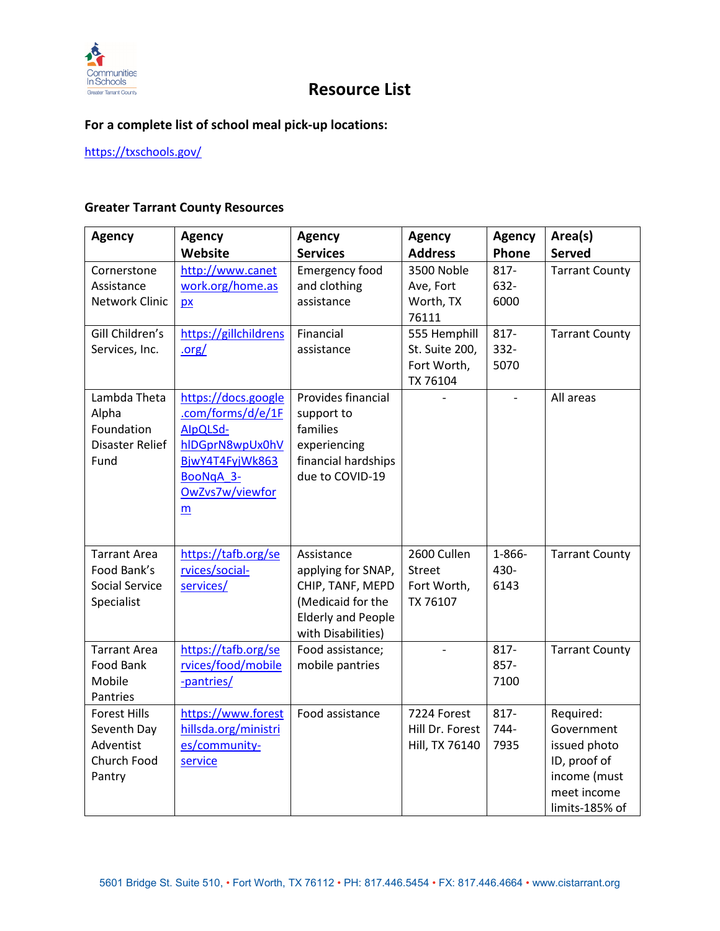

### **For a complete list of school meal pick-up locations:**

<https://txschools.gov/>

#### **Greater Tarrant County Resources**

| <b>Agency</b>                   | <b>Agency</b>                              | <b>Agency</b>                       | <b>Agency</b>   | <b>Agency</b> | Area(s)                 |
|---------------------------------|--------------------------------------------|-------------------------------------|-----------------|---------------|-------------------------|
|                                 | Website                                    | <b>Services</b>                     | <b>Address</b>  | Phone         | <b>Served</b>           |
| Cornerstone                     | http://www.canet                           | <b>Emergency food</b>               | 3500 Noble      | $817 -$       | <b>Tarrant County</b>   |
| Assistance                      | work.org/home.as                           | and clothing                        | Ave, Fort       | 632-          |                         |
| <b>Network Clinic</b>           | px                                         | assistance                          | Worth, TX       | 6000          |                         |
|                                 |                                            |                                     | 76111           |               |                         |
| Gill Children's                 | https://gillchildrens                      | Financial                           | 555 Hemphill    | $817 -$       | <b>Tarrant County</b>   |
| Services, Inc.                  | .org/                                      | assistance                          | St. Suite 200,  | $332 -$       |                         |
|                                 |                                            |                                     | Fort Worth,     | 5070          |                         |
|                                 |                                            |                                     | TX 76104        |               |                         |
| Lambda Theta                    | https://docs.google                        | Provides financial                  |                 |               | All areas               |
| Alpha                           | .com/forms/d/e/1F                          | support to                          |                 |               |                         |
| Foundation<br>Disaster Relief   | AlpQLSd-<br>hIDGprN8wpUx0hV                | families                            |                 |               |                         |
| Fund                            | BjwY4T4FyjWk863                            | experiencing<br>financial hardships |                 |               |                         |
|                                 | BooNqA 3-                                  | due to COVID-19                     |                 |               |                         |
|                                 | OwZvs7w/viewfor                            |                                     |                 |               |                         |
|                                 | $\underline{m}$                            |                                     |                 |               |                         |
|                                 |                                            |                                     |                 |               |                         |
|                                 |                                            |                                     |                 |               |                         |
| <b>Tarrant Area</b>             | https://tafb.org/se                        | Assistance                          | 2600 Cullen     | $1 - 866 -$   | <b>Tarrant County</b>   |
| Food Bank's                     | rvices/social-                             | applying for SNAP,                  | Street          | 430-          |                         |
| Social Service                  | services/                                  | CHIP, TANF, MEPD                    | Fort Worth,     | 6143          |                         |
| Specialist                      |                                            | (Medicaid for the                   | TX 76107        |               |                         |
|                                 |                                            | <b>Elderly and People</b>           |                 |               |                         |
|                                 |                                            | with Disabilities)                  |                 |               |                         |
| <b>Tarrant Area</b>             | https://tafb.org/se                        | Food assistance;                    |                 | $817 -$       | <b>Tarrant County</b>   |
| Food Bank                       | rvices/food/mobile                         | mobile pantries                     |                 | $857 -$       |                         |
| Mobile                          | -pantries/                                 |                                     |                 | 7100          |                         |
| Pantries<br><b>Forest Hills</b> |                                            |                                     | 7224 Forest     | $817 -$       |                         |
| Seventh Day                     | https://www.forest<br>hillsda.org/ministri | Food assistance                     | Hill Dr. Forest | 744-          | Required:<br>Government |
| Adventist                       | es/community-                              |                                     | Hill, TX 76140  | 7935          | issued photo            |
| Church Food                     | service                                    |                                     |                 |               | ID, proof of            |
| Pantry                          |                                            |                                     |                 |               | income (must            |
|                                 |                                            |                                     |                 |               | meet income             |
|                                 |                                            |                                     |                 |               | limits-185% of          |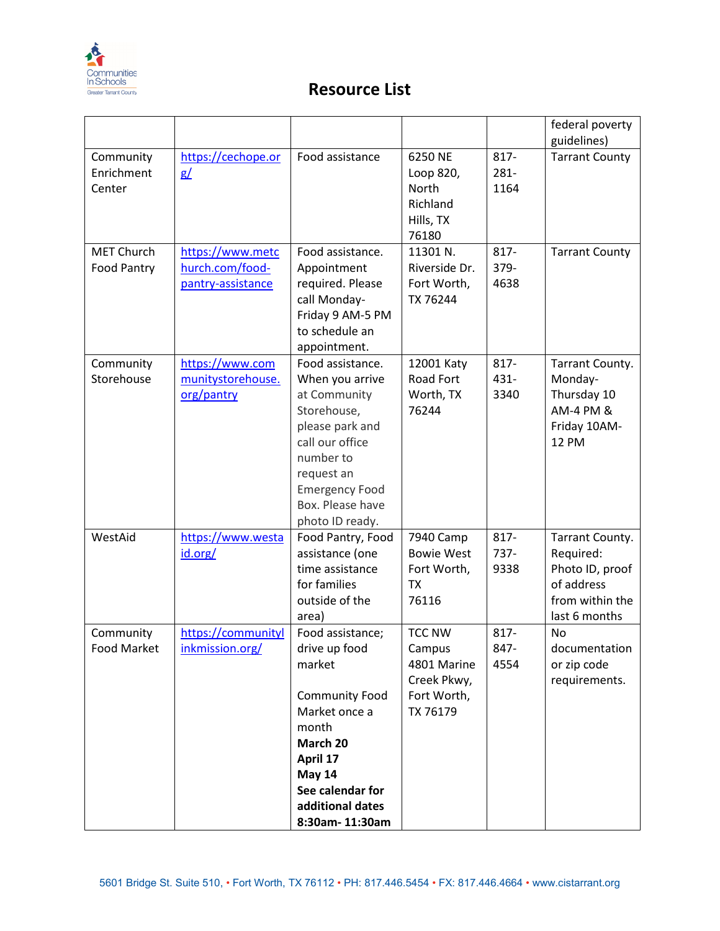

|                    |                    |                       |                   |         | federal poverty       |
|--------------------|--------------------|-----------------------|-------------------|---------|-----------------------|
|                    |                    |                       |                   |         | guidelines)           |
| Community          | https://cechope.or | Food assistance       | 6250 NE           | $817 -$ | <b>Tarrant County</b> |
| Enrichment         | g/                 |                       | Loop 820,         | $281 -$ |                       |
| Center             |                    |                       | North             | 1164    |                       |
|                    |                    |                       | Richland          |         |                       |
|                    |                    |                       | Hills, TX         |         |                       |
|                    |                    |                       | 76180             |         |                       |
| <b>MET Church</b>  | https://www.metc   | Food assistance.      | 11301 N.          | $817 -$ | <b>Tarrant County</b> |
| <b>Food Pantry</b> | hurch.com/food-    | Appointment           | Riverside Dr.     | 379-    |                       |
|                    | pantry-assistance  | required. Please      | Fort Worth,       | 4638    |                       |
|                    |                    | call Monday-          | TX 76244          |         |                       |
|                    |                    | Friday 9 AM-5 PM      |                   |         |                       |
|                    |                    | to schedule an        |                   |         |                       |
|                    |                    | appointment.          |                   |         |                       |
| Community          | https://www.com    | Food assistance.      | 12001 Katy        | $817 -$ | Tarrant County.       |
| Storehouse         | munitystorehouse.  | When you arrive       | Road Fort         | 431-    | Monday-               |
|                    | org/pantry         | at Community          | Worth, TX         | 3340    | Thursday 10           |
|                    |                    | Storehouse,           | 76244             |         | AM-4 PM &             |
|                    |                    | please park and       |                   |         | Friday 10AM-          |
|                    |                    | call our office       |                   |         | <b>12 PM</b>          |
|                    |                    | number to             |                   |         |                       |
|                    |                    | request an            |                   |         |                       |
|                    |                    | <b>Emergency Food</b> |                   |         |                       |
|                    |                    | Box. Please have      |                   |         |                       |
|                    |                    | photo ID ready.       |                   |         |                       |
| WestAid            | https://www.westa  | Food Pantry, Food     | 7940 Camp         | $817 -$ | Tarrant County.       |
|                    | id.org/            | assistance (one       | <b>Bowie West</b> | 737-    | Required:             |
|                    |                    | time assistance       | Fort Worth,       | 9338    | Photo ID, proof       |
|                    |                    | for families          | ТX                |         | of address            |
|                    |                    | outside of the        | 76116             |         | from within the       |
|                    |                    | area)                 |                   |         | last 6 months         |
| Community          | https://communityl | Food assistance;      | <b>TCC NW</b>     | $817 -$ | No                    |
| Food Market        | inkmission.org/    | drive up food         | Campus            | 847-    | documentation         |
|                    |                    | market                | 4801 Marine       | 4554    | or zip code           |
|                    |                    |                       | Creek Pkwy,       |         | requirements.         |
|                    |                    | <b>Community Food</b> | Fort Worth,       |         |                       |
|                    |                    | Market once a         | TX 76179          |         |                       |
|                    |                    | month                 |                   |         |                       |
|                    |                    | March 20              |                   |         |                       |
|                    |                    | April 17              |                   |         |                       |
|                    |                    | <b>May 14</b>         |                   |         |                       |
|                    |                    | See calendar for      |                   |         |                       |
|                    |                    | additional dates      |                   |         |                       |
|                    |                    | 8:30am-11:30am        |                   |         |                       |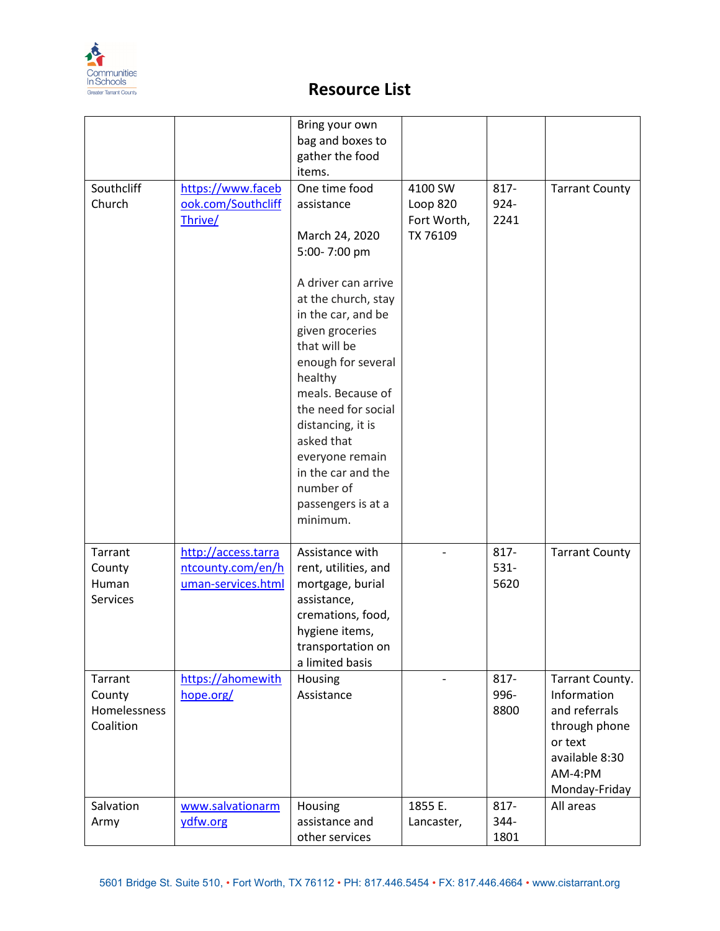

|                                                |                                                                | Bring your own<br>bag and boxes to<br>gather the food                                                                                                                                                                                                                                                                                                                                  |                                                |                            |                                                                                                                           |
|------------------------------------------------|----------------------------------------------------------------|----------------------------------------------------------------------------------------------------------------------------------------------------------------------------------------------------------------------------------------------------------------------------------------------------------------------------------------------------------------------------------------|------------------------------------------------|----------------------------|---------------------------------------------------------------------------------------------------------------------------|
| Southcliff<br>Church                           | https://www.faceb<br>ook.com/Southcliff<br>Thrive/             | items.<br>One time food<br>assistance<br>March 24, 2020<br>5:00-7:00 pm<br>A driver can arrive<br>at the church, stay<br>in the car, and be<br>given groceries<br>that will be<br>enough for several<br>healthy<br>meals. Because of<br>the need for social<br>distancing, it is<br>asked that<br>everyone remain<br>in the car and the<br>number of<br>passengers is at a<br>minimum. | 4100 SW<br>Loop 820<br>Fort Worth,<br>TX 76109 | $817 -$<br>924-<br>2241    | <b>Tarrant County</b>                                                                                                     |
| Tarrant<br>County<br>Human<br>Services         | http://access.tarra<br>ntcounty.com/en/h<br>uman-services.html | Assistance with<br>rent, utilities, and<br>mortgage, burial<br>assistance,<br>cremations, food,<br>hygiene items,<br>transportation on<br>a limited basis                                                                                                                                                                                                                              |                                                | $817 -$<br>$531 -$<br>5620 | <b>Tarrant County</b>                                                                                                     |
| Tarrant<br>County<br>Homelessness<br>Coalition | https://ahomewith<br>hope.org/                                 | Housing<br>Assistance                                                                                                                                                                                                                                                                                                                                                                  |                                                | $817 -$<br>996-<br>8800    | Tarrant County.<br>Information<br>and referrals<br>through phone<br>or text<br>available 8:30<br>AM-4:PM<br>Monday-Friday |
| Salvation<br>Army                              | www.salvationarm<br>ydfw.org                                   | Housing<br>assistance and<br>other services                                                                                                                                                                                                                                                                                                                                            | 1855 E.<br>Lancaster,                          | $817 -$<br>344-<br>1801    | All areas                                                                                                                 |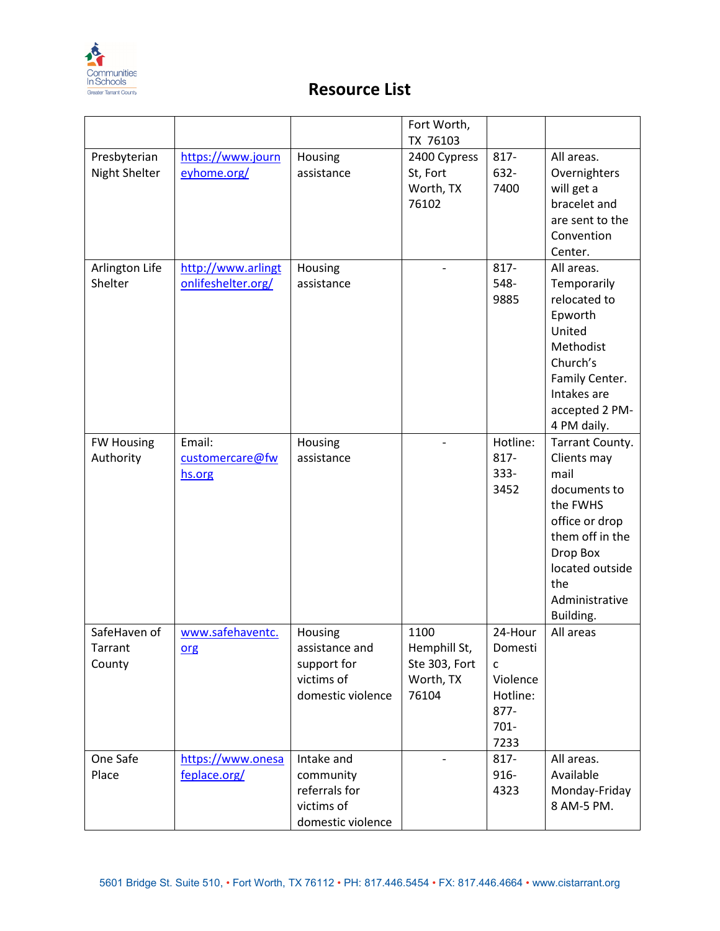

|                   |                    |                   | Fort Worth,   |          |                               |
|-------------------|--------------------|-------------------|---------------|----------|-------------------------------|
|                   |                    |                   | TX 76103      |          |                               |
| Presbyterian      | https://www.journ  | Housing           | 2400 Cypress  | 817-     | All areas.                    |
| Night Shelter     | eyhome.org/        | assistance        | St, Fort      | 632-     | Overnighters                  |
|                   |                    |                   | Worth, TX     | 7400     | will get a                    |
|                   |                    |                   | 76102         |          | bracelet and                  |
|                   |                    |                   |               |          | are sent to the               |
|                   |                    |                   |               |          | Convention                    |
|                   |                    |                   |               |          | Center.                       |
| Arlington Life    | http://www.arlingt | Housing           |               | $817 -$  | All areas.                    |
| Shelter           | onlifeshelter.org/ | assistance        |               | 548-     | Temporarily                   |
|                   |                    |                   |               | 9885     | relocated to                  |
|                   |                    |                   |               |          | Epworth                       |
|                   |                    |                   |               |          | United                        |
|                   |                    |                   |               |          | Methodist<br>Church's         |
|                   |                    |                   |               |          |                               |
|                   |                    |                   |               |          | Family Center.<br>Intakes are |
|                   |                    |                   |               |          | accepted 2 PM-                |
|                   |                    |                   |               |          | 4 PM daily.                   |
| <b>FW Housing</b> | Email:             | Housing           |               | Hotline: | Tarrant County.               |
| Authority         | customercare@fw    | assistance        |               | $817 -$  | Clients may                   |
|                   | hs.org             |                   |               | 333-     | mail                          |
|                   |                    |                   |               | 3452     | documents to                  |
|                   |                    |                   |               |          | the FWHS                      |
|                   |                    |                   |               |          | office or drop                |
|                   |                    |                   |               |          | them off in the               |
|                   |                    |                   |               |          | Drop Box                      |
|                   |                    |                   |               |          | located outside               |
|                   |                    |                   |               |          | the                           |
|                   |                    |                   |               |          | Administrative                |
|                   |                    |                   |               |          | Building.                     |
| SafeHaven of      | www.safehaventc.   | Housing           | 1100          | 24-Hour  | All areas                     |
| Tarrant           | org                | assistance and    | Hemphill St,  | Domesti  |                               |
| County            |                    | support for       | Ste 303, Fort | C        |                               |
|                   |                    | victims of        | Worth, TX     | Violence |                               |
|                   |                    | domestic violence | 76104         | Hotline: |                               |
|                   |                    |                   |               | 877-     |                               |
|                   |                    |                   |               | $701 -$  |                               |
|                   |                    |                   |               | 7233     |                               |
| One Safe          | https://www.onesa  | Intake and        |               | $817 -$  | All areas.                    |
| Place             | feplace.org/       | community         |               | $916 -$  | Available                     |
|                   |                    | referrals for     |               | 4323     | Monday-Friday                 |
|                   |                    | victims of        |               |          | 8 AM-5 PM.                    |
|                   |                    | domestic violence |               |          |                               |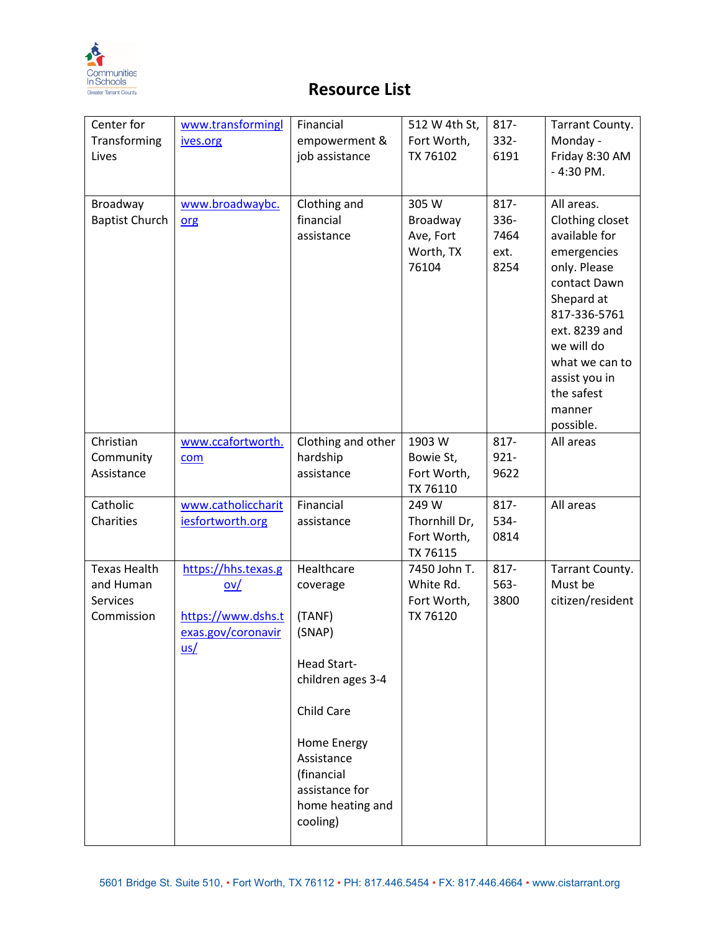

| Center for<br>Transforming<br>Lives | www.transformingl<br>ives.org | Financial<br>empowerment &<br>job assistance                                              | 512 W 4th St,<br>Fort Worth,<br>TX 76102             | $817 -$<br>$332 -$<br>6191              | Tarrant County.<br>Monday -<br>Friday 8:30 AM<br>$-4:30$ PM.                                                                                                                                                                       |
|-------------------------------------|-------------------------------|-------------------------------------------------------------------------------------------|------------------------------------------------------|-----------------------------------------|------------------------------------------------------------------------------------------------------------------------------------------------------------------------------------------------------------------------------------|
|                                     |                               |                                                                                           |                                                      |                                         |                                                                                                                                                                                                                                    |
| Broadway<br><b>Baptist Church</b>   | www.broadwaybc.<br>org        | Clothing and<br>financial<br>assistance                                                   | 305 W<br>Broadway<br>Ave, Fort<br>Worth, TX<br>76104 | $817 -$<br>336-<br>7464<br>ext.<br>8254 | All areas.<br>Clothing closet<br>available for<br>emergencies<br>only. Please<br>contact Dawn<br>Shepard at<br>817-336-5761<br>ext. 8239 and<br>we will do<br>what we can to<br>assist you in<br>the safest<br>manner<br>possible. |
| Christian                           | www.ccafortworth.             | Clothing and other                                                                        | 1903W                                                | $817 -$                                 | All areas                                                                                                                                                                                                                          |
| Community                           | com                           | hardship                                                                                  | Bowie St,                                            | $921 -$                                 |                                                                                                                                                                                                                                    |
| Assistance                          |                               | assistance                                                                                | Fort Worth,<br>TX 76110                              | 9622                                    |                                                                                                                                                                                                                                    |
| Catholic                            | www.catholiccharit            | Financial                                                                                 | 249 W                                                | $817 -$                                 | All areas                                                                                                                                                                                                                          |
| Charities                           | iesfortworth.org              | assistance                                                                                | Thornhill Dr,<br>Fort Worth,<br>TX 76115             | 534-<br>0814                            |                                                                                                                                                                                                                                    |
| <b>Texas Health</b>                 | https://hhs.texas.g           | Healthcare                                                                                | 7450 John T.                                         | $817 -$                                 | Tarrant County.                                                                                                                                                                                                                    |
| and Human                           | $ov/$                         | coverage                                                                                  | White Rd.                                            | $563-$                                  | Must be                                                                                                                                                                                                                            |
| <b>Services</b>                     |                               |                                                                                           | Fort Worth,                                          | 3800                                    | citizen/resident                                                                                                                                                                                                                   |
| Commission                          | https://www.dshs.t            | (TANF)                                                                                    | TX 76120                                             |                                         |                                                                                                                                                                                                                                    |
|                                     | exas.gov/coronavir            | (SNAP)                                                                                    |                                                      |                                         |                                                                                                                                                                                                                                    |
|                                     | $us/$                         | <b>Head Start-</b><br>children ages 3-4                                                   |                                                      |                                         |                                                                                                                                                                                                                                    |
|                                     |                               | <b>Child Care</b>                                                                         |                                                      |                                         |                                                                                                                                                                                                                                    |
|                                     |                               | Home Energy<br>Assistance<br>(financial<br>assistance for<br>home heating and<br>cooling) |                                                      |                                         |                                                                                                                                                                                                                                    |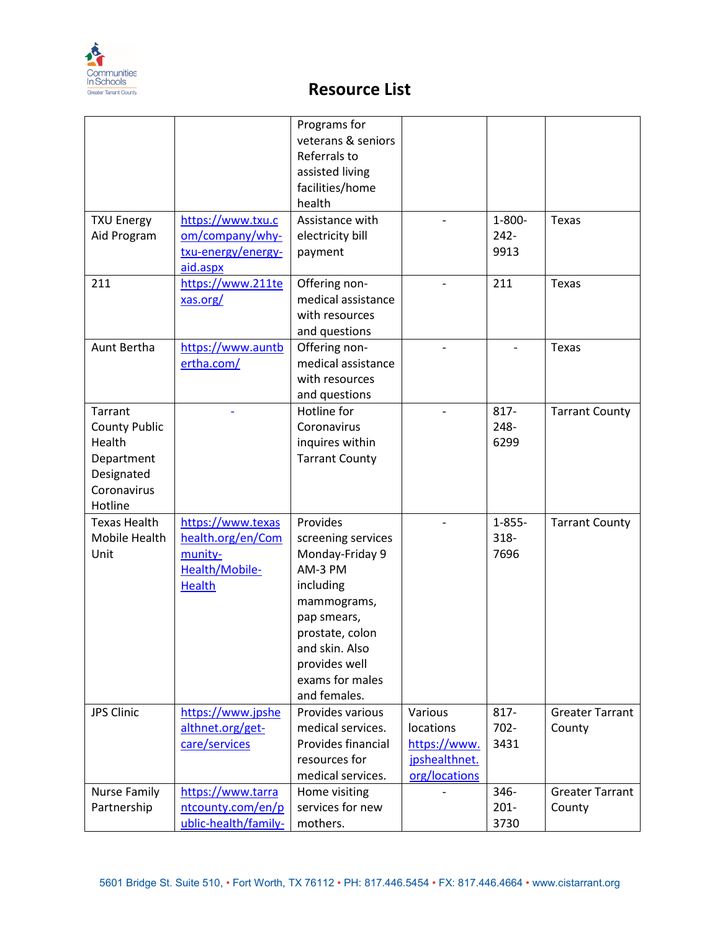

| <b>TXU Energy</b><br>Aid Program<br>211                                                         | https://www.txu.c<br>om/company/why-<br>txu-energy/energy-<br>aid.aspx<br>https://www.211te<br>xas.org/ | Programs for<br>veterans & seniors<br>Referrals to<br>assisted living<br>facilities/home<br>health<br>Assistance with<br>electricity bill<br>payment<br>Offering non-<br>medical assistance      |                                                                        | $1 - 800 -$<br>$242 -$<br>9913<br>211 | Texas<br>Texas                   |
|-------------------------------------------------------------------------------------------------|---------------------------------------------------------------------------------------------------------|--------------------------------------------------------------------------------------------------------------------------------------------------------------------------------------------------|------------------------------------------------------------------------|---------------------------------------|----------------------------------|
|                                                                                                 |                                                                                                         | with resources<br>and questions                                                                                                                                                                  |                                                                        |                                       |                                  |
| Aunt Bertha                                                                                     | https://www.auntb<br>ertha.com/                                                                         | Offering non-<br>medical assistance<br>with resources<br>and questions                                                                                                                           |                                                                        |                                       | Texas                            |
| Tarrant<br><b>County Public</b><br>Health<br>Department<br>Designated<br>Coronavirus<br>Hotline |                                                                                                         | Hotline for<br>Coronavirus<br>inquires within<br><b>Tarrant County</b>                                                                                                                           |                                                                        | $817 -$<br>248-<br>6299               | <b>Tarrant County</b>            |
| <b>Texas Health</b><br>Mobile Health<br>Unit                                                    | https://www.texas<br>health.org/en/Com<br>munity-<br>Health/Mobile-<br><b>Health</b>                    | Provides<br>screening services<br>Monday-Friday 9<br>AM-3 PM<br>including<br>mammograms,<br>pap smears,<br>prostate, colon<br>and skin. Also<br>provides well<br>exams for males<br>and females. |                                                                        | $1 - 855 -$<br>$318 -$<br>7696        | <b>Tarrant County</b>            |
| <b>JPS Clinic</b>                                                                               | https://www.jpshe<br>althnet.org/get-<br>care/services                                                  | Provides various<br>medical services.<br>Provides financial<br>resources for<br>medical services.                                                                                                | Various<br>locations<br>https://www.<br>jpshealthnet.<br>org/locations | $817 -$<br>$702 -$<br>3431            | <b>Greater Tarrant</b><br>County |
| <b>Nurse Family</b><br>Partnership                                                              | https://www.tarra<br>ntcounty.com/en/p<br>ublic-health/family-                                          | Home visiting<br>services for new<br>mothers.                                                                                                                                                    |                                                                        | 346-<br>$201 -$<br>3730               | <b>Greater Tarrant</b><br>County |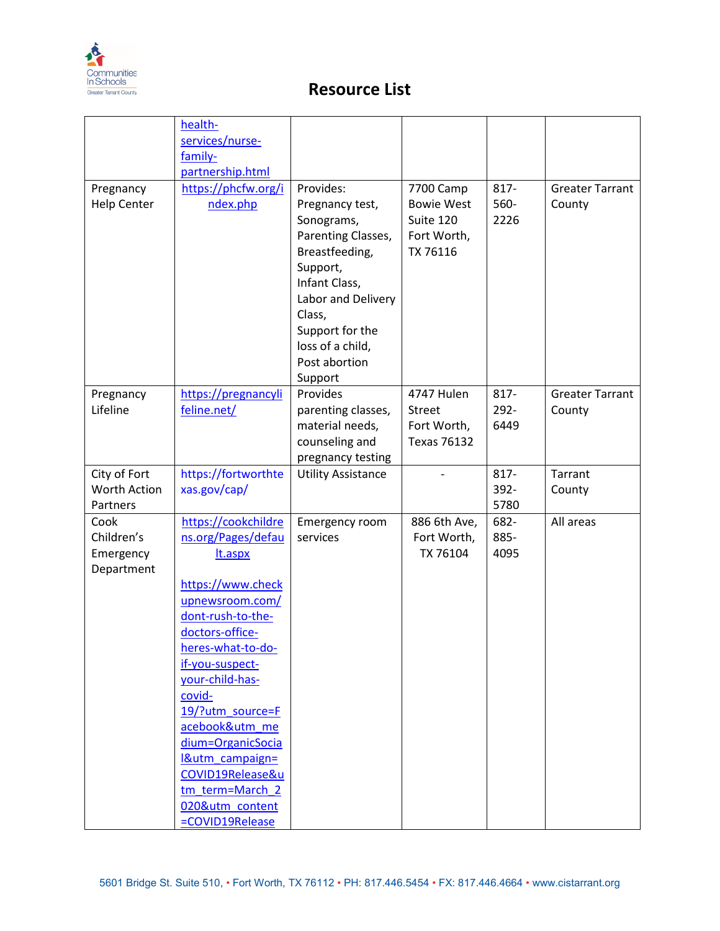

|                                               | health-<br>services/nurse-<br>family-<br>partnership.html                                                                                                                                                                                                                                                                                                                       |                                                                                                                                                                                                                    |                                                                        |                            |                                  |
|-----------------------------------------------|---------------------------------------------------------------------------------------------------------------------------------------------------------------------------------------------------------------------------------------------------------------------------------------------------------------------------------------------------------------------------------|--------------------------------------------------------------------------------------------------------------------------------------------------------------------------------------------------------------------|------------------------------------------------------------------------|----------------------------|----------------------------------|
| Pregnancy<br><b>Help Center</b>               | https://phcfw.org/i<br>ndex.php                                                                                                                                                                                                                                                                                                                                                 | Provides:<br>Pregnancy test,<br>Sonograms,<br>Parenting Classes,<br>Breastfeeding,<br>Support,<br>Infant Class,<br>Labor and Delivery<br>Class,<br>Support for the<br>loss of a child,<br>Post abortion<br>Support | 7700 Camp<br><b>Bowie West</b><br>Suite 120<br>Fort Worth,<br>TX 76116 | $817 -$<br>560-<br>2226    | <b>Greater Tarrant</b><br>County |
| Pregnancy<br>Lifeline                         | https://pregnancyli<br>feline.net/                                                                                                                                                                                                                                                                                                                                              | Provides<br>parenting classes,<br>material needs,<br>counseling and<br>pregnancy testing                                                                                                                           | 4747 Hulen<br><b>Street</b><br>Fort Worth,<br><b>Texas 76132</b>       | $817 -$<br>$292 -$<br>6449 | <b>Greater Tarrant</b><br>County |
| City of Fort<br>Worth Action<br>Partners      | https://fortworthte<br>xas.gov/cap/                                                                                                                                                                                                                                                                                                                                             | <b>Utility Assistance</b>                                                                                                                                                                                          |                                                                        | $817 -$<br>392-<br>5780    | Tarrant<br>County                |
| Cook<br>Children's<br>Emergency<br>Department | https://cookchildre<br>ns.org/Pages/defau<br>lt.aspx<br>https://www.check<br>upnewsroom.com/<br>dont-rush-to-the-<br>doctors-office-<br>heres-what-to-do-<br>if-you-suspect-<br>your-child-has-<br>covid-<br>19/?utm_source=F<br>acebook&utm me<br>dium=OrganicSocia<br><b>I&amp;utm</b> campaign=<br>COVID19Release&u<br>tm term=March 2<br>020&utm_content<br>=COVID19Release | Emergency room<br>services                                                                                                                                                                                         | 886 6th Ave,<br>Fort Worth,<br>TX 76104                                | 682-<br>885-<br>4095       | All areas                        |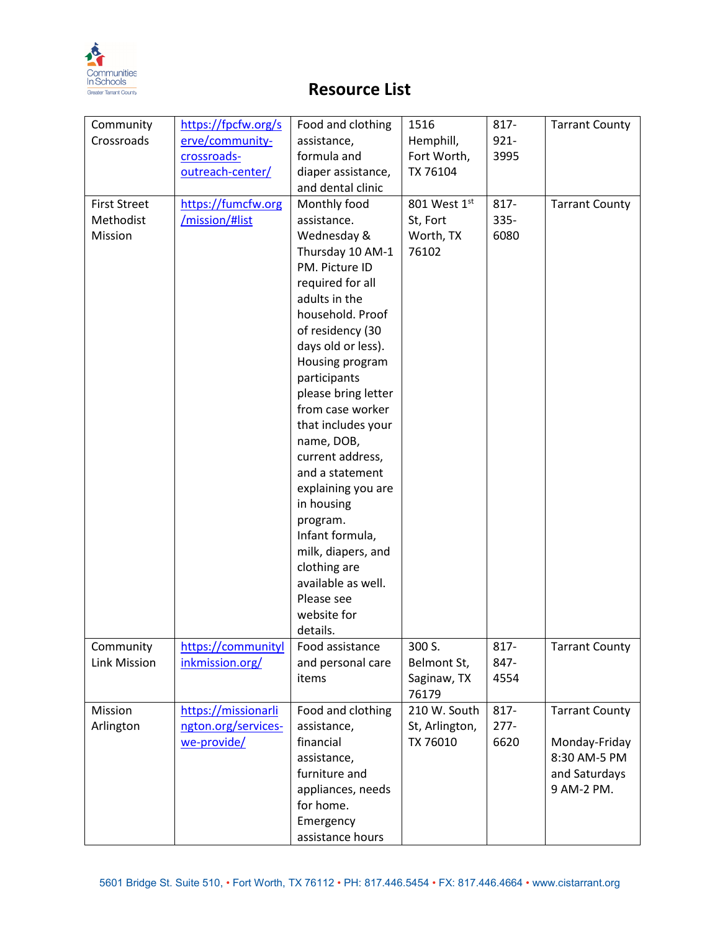

| Community           | https://fpcfw.org/s | Food and clothing              | 1516           | $817 -$ | <b>Tarrant County</b> |
|---------------------|---------------------|--------------------------------|----------------|---------|-----------------------|
| Crossroads          | erve/community-     | assistance,                    | Hemphill,      | $921 -$ |                       |
|                     | crossroads-         | formula and                    | Fort Worth,    | 3995    |                       |
|                     | outreach-center/    | diaper assistance,             | TX 76104       |         |                       |
|                     |                     | and dental clinic              |                |         |                       |
| <b>First Street</b> | https://fumcfw.org  | Monthly food                   | 801 West 1st   | 817-    | <b>Tarrant County</b> |
| Methodist           | /mission/#list      | assistance.                    | St, Fort       | $335 -$ |                       |
| Mission             |                     | Wednesday &                    | Worth, TX      | 6080    |                       |
|                     |                     | Thursday 10 AM-1               | 76102          |         |                       |
|                     |                     | PM. Picture ID                 |                |         |                       |
|                     |                     | required for all               |                |         |                       |
|                     |                     | adults in the                  |                |         |                       |
|                     |                     | household. Proof               |                |         |                       |
|                     |                     | of residency (30               |                |         |                       |
|                     |                     | days old or less).             |                |         |                       |
|                     |                     | Housing program                |                |         |                       |
|                     |                     | participants                   |                |         |                       |
|                     |                     | please bring letter            |                |         |                       |
|                     |                     | from case worker               |                |         |                       |
|                     |                     | that includes your             |                |         |                       |
|                     |                     |                                |                |         |                       |
|                     |                     | name, DOB,<br>current address, |                |         |                       |
|                     |                     | and a statement                |                |         |                       |
|                     |                     |                                |                |         |                       |
|                     |                     | explaining you are             |                |         |                       |
|                     |                     | in housing                     |                |         |                       |
|                     |                     | program.                       |                |         |                       |
|                     |                     | Infant formula,                |                |         |                       |
|                     |                     | milk, diapers, and             |                |         |                       |
|                     |                     | clothing are                   |                |         |                       |
|                     |                     | available as well.             |                |         |                       |
|                     |                     | Please see                     |                |         |                       |
|                     |                     | website for                    |                |         |                       |
|                     |                     | details.                       |                |         |                       |
| Community           | https://communityl  | Food assistance                | 300 S.         | 817-    | <b>Tarrant County</b> |
| <b>Link Mission</b> | inkmission.org/     | and personal care              | Belmont St,    | 847-    |                       |
|                     |                     | items                          | Saginaw, TX    | 4554    |                       |
|                     |                     |                                | 76179          |         |                       |
| Mission             | https://missionarli | Food and clothing              | 210 W. South   | $817 -$ | <b>Tarrant County</b> |
| Arlington           | ngton.org/services- | assistance,                    | St, Arlington, | $277 -$ |                       |
|                     | we-provide/         | financial                      | TX 76010       | 6620    | Monday-Friday         |
|                     |                     | assistance,                    |                |         | 8:30 AM-5 PM          |
|                     |                     | furniture and                  |                |         | and Saturdays         |
|                     |                     | appliances, needs              |                |         | 9 AM-2 PM.            |
|                     |                     | for home.                      |                |         |                       |
|                     |                     | Emergency                      |                |         |                       |
|                     |                     | assistance hours               |                |         |                       |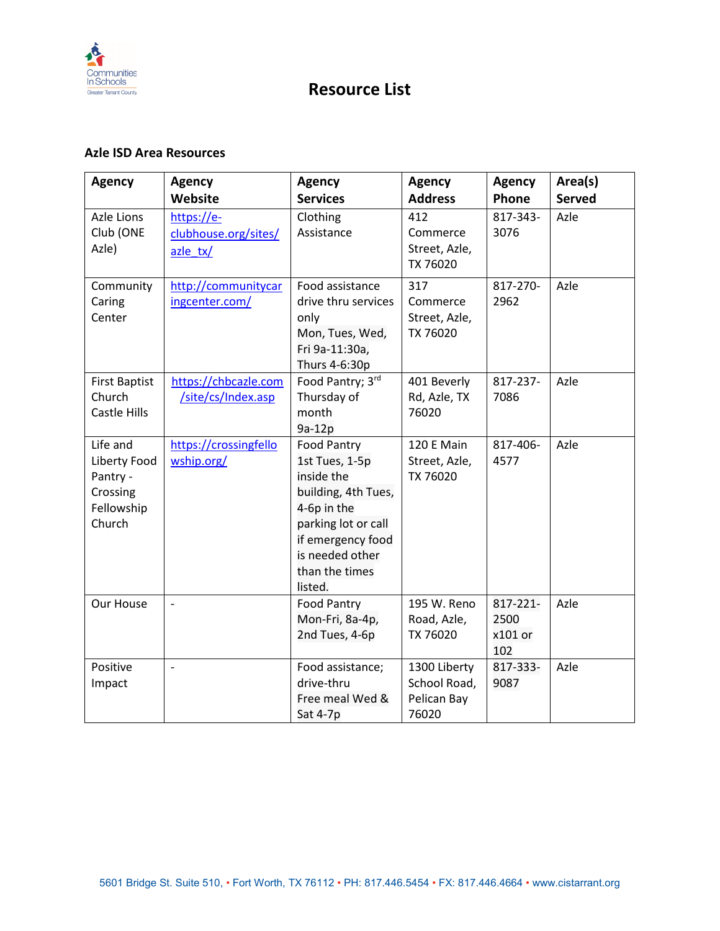

### **Azle ISD Area Resources**

| <b>Agency</b>                                                                   | <b>Agency</b>                                  | <b>Agency</b>                                                                                                                                                                        | <b>Agency</b>                                        | <b>Agency</b>                      | Area(s)       |
|---------------------------------------------------------------------------------|------------------------------------------------|--------------------------------------------------------------------------------------------------------------------------------------------------------------------------------------|------------------------------------------------------|------------------------------------|---------------|
|                                                                                 | Website                                        | <b>Services</b>                                                                                                                                                                      | <b>Address</b>                                       | Phone                              | <b>Served</b> |
| Azle Lions<br>Club (ONE<br>Azle)                                                | https://e-<br>clubhouse.org/sites/<br>azle tx/ | Clothing<br>Assistance                                                                                                                                                               | 412<br>Commerce<br>Street, Azle,<br>TX 76020         | 817-343-<br>3076                   | Azle          |
| Community<br>Caring<br>Center                                                   | http://communitycar<br>ingcenter.com/          | Food assistance<br>drive thru services<br>only<br>Mon, Tues, Wed,<br>Fri 9a-11:30a,<br>Thurs 4-6:30p                                                                                 | 317<br>Commerce<br>Street, Azle,<br>TX 76020         | 817-270-<br>2962                   | Azle          |
| <b>First Baptist</b><br>Church<br><b>Castle Hills</b>                           | https://chbcazle.com<br>/site/cs/Index.asp     | Food Pantry; 3rd<br>Thursday of<br>month<br>9a-12p                                                                                                                                   | 401 Beverly<br>Rd, Azle, TX<br>76020                 | 817-237-<br>7086                   | Azle          |
| Life and<br><b>Liberty Food</b><br>Pantry -<br>Crossing<br>Fellowship<br>Church | https://crossingfello<br>wship.org/            | <b>Food Pantry</b><br>1st Tues, 1-5p<br>inside the<br>building, 4th Tues,<br>4-6p in the<br>parking lot or call<br>if emergency food<br>is needed other<br>than the times<br>listed. | <b>120 E Main</b><br>Street, Azle,<br>TX 76020       | 817-406-<br>4577                   | Azle          |
| Our House                                                                       | $\overline{a}$                                 | <b>Food Pantry</b><br>Mon-Fri, 8a-4p,<br>2nd Tues, 4-6p                                                                                                                              | 195 W. Reno<br>Road, Azle,<br>TX 76020               | 817-221-<br>2500<br>x101 or<br>102 | Azle          |
| Positive<br>Impact                                                              | $\overline{\phantom{0}}$                       | Food assistance;<br>drive-thru<br>Free meal Wed &<br>Sat 4-7p                                                                                                                        | 1300 Liberty<br>School Road,<br>Pelican Bay<br>76020 | 817-333-<br>9087                   | Azle          |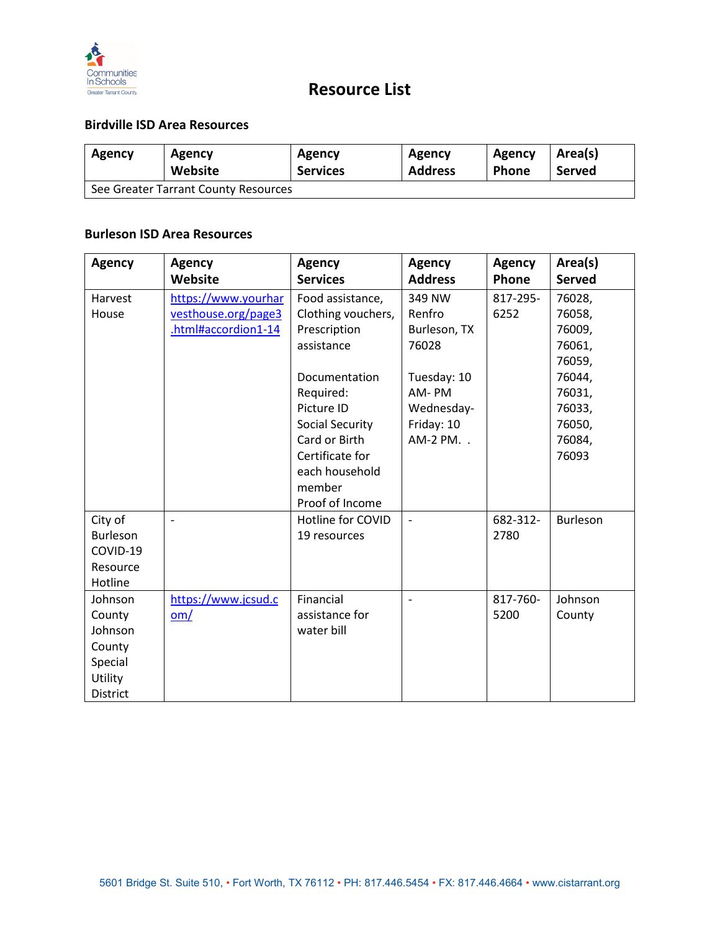

#### **Birdville ISD Area Resources**

| <b>Agency</b> | Agency                               | Agency          | Agency         | Agency       | Area(s) |
|---------------|--------------------------------------|-----------------|----------------|--------------|---------|
|               | Website                              | <b>Services</b> | <b>Address</b> | <b>Phone</b> | Served  |
|               | See Greater Tarrant County Resources |                 |                |              |         |

#### **Burleson ISD Area Resources**

| <b>Agency</b>   | <b>Agency</b>       | <b>Agency</b>          | <b>Agency</b>            | <b>Agency</b> | Area(s)       |
|-----------------|---------------------|------------------------|--------------------------|---------------|---------------|
|                 | Website             | <b>Services</b>        | <b>Address</b>           | Phone         | <b>Served</b> |
| Harvest         | https://www.yourhar | Food assistance,       | 349 NW                   | 817-295-      | 76028,        |
| House           | vesthouse.org/page3 | Clothing vouchers,     | Renfro                   | 6252          | 76058,        |
|                 | .html#accordion1-14 | Prescription           | Burleson, TX             |               | 76009,        |
|                 |                     | assistance             | 76028                    |               | 76061,        |
|                 |                     |                        |                          |               | 76059,        |
|                 |                     | Documentation          | Tuesday: 10              |               | 76044,        |
|                 |                     | Required:              | AM-PM                    |               | 76031,        |
|                 |                     | Picture ID             | Wednesday-               |               | 76033,        |
|                 |                     | <b>Social Security</b> | Friday: 10               |               | 76050,        |
|                 |                     | Card or Birth          | AM-2 PM. .               |               | 76084,        |
|                 |                     | Certificate for        |                          |               | 76093         |
|                 |                     | each household         |                          |               |               |
|                 |                     | member                 |                          |               |               |
|                 |                     | Proof of Income        |                          |               |               |
| City of         | $\overline{a}$      | Hotline for COVID      | $\overline{\phantom{a}}$ | 682-312-      | Burleson      |
| <b>Burleson</b> |                     | 19 resources           |                          | 2780          |               |
| COVID-19        |                     |                        |                          |               |               |
| Resource        |                     |                        |                          |               |               |
| Hotline         |                     |                        |                          |               |               |
| Johnson         | https://www.jcsud.c | Financial              |                          | 817-760-      | Johnson       |
| County          | om/                 | assistance for         |                          | 5200          | County        |
| Johnson         |                     | water bill             |                          |               |               |
| County          |                     |                        |                          |               |               |
| Special         |                     |                        |                          |               |               |
| Utility         |                     |                        |                          |               |               |
| District        |                     |                        |                          |               |               |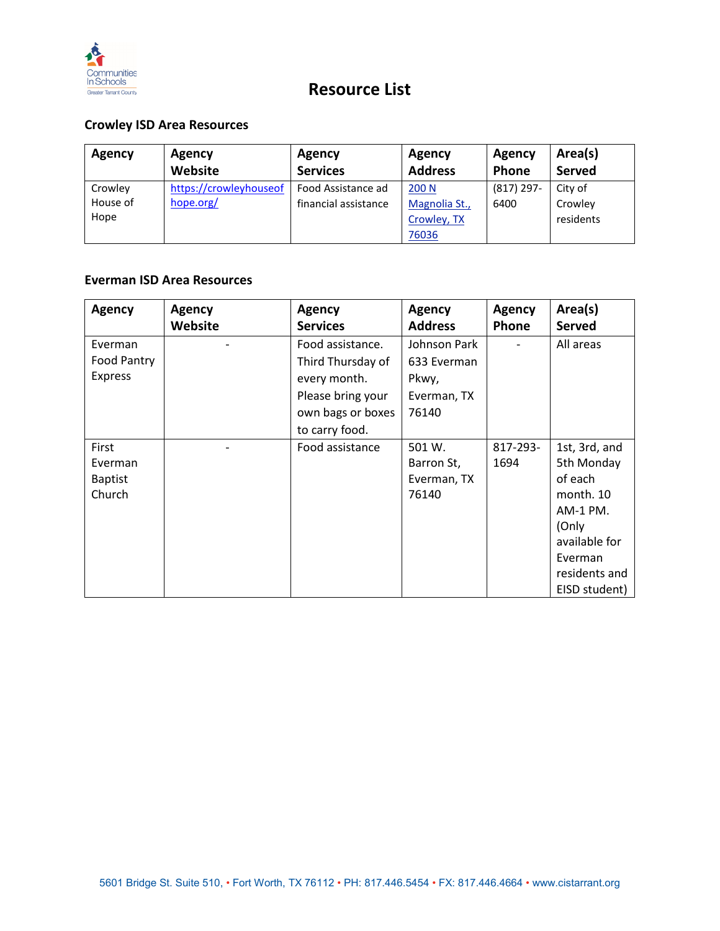

### **Crowley ISD Area Resources**

| <b>Agency</b> | Agency<br>Website      | Agency<br><b>Services</b> | <b>Agency</b><br><b>Address</b> | Agency<br><b>Phone</b> | Area(s)<br><b>Served</b> |
|---------------|------------------------|---------------------------|---------------------------------|------------------------|--------------------------|
| Crowley       | https://crowleyhouseof | Food Assistance ad        | 200 N                           | $(817)$ 297-           | City of                  |
| House of      | hope.org/              | financial assistance      | Magnolia St.,                   | 6400                   | Crowley                  |
| Hope          |                        |                           | Crowley, TX                     |                        | residents                |
|               |                        |                           | 76036                           |                        |                          |

#### **Everman ISD Area Resources**

| <b>Agency</b>  | <b>Agency</b> | <b>Agency</b>     | <b>Agency</b>  | <b>Agency</b> | Area(s)       |
|----------------|---------------|-------------------|----------------|---------------|---------------|
|                | Website       | <b>Services</b>   | <b>Address</b> | Phone         | <b>Served</b> |
| Everman        |               | Food assistance.  | Johnson Park   |               | All areas     |
| Food Pantry    |               | Third Thursday of | 633 Everman    |               |               |
| <b>Express</b> |               | every month.      | Pkwy,          |               |               |
|                |               | Please bring your | Everman, TX    |               |               |
|                |               | own bags or boxes | 76140          |               |               |
|                |               | to carry food.    |                |               |               |
| First          |               | Food assistance   | 501 W.         | 817-293-      | 1st, 3rd, and |
| Everman        |               |                   | Barron St,     | 1694          | 5th Monday    |
| <b>Baptist</b> |               |                   | Everman, TX    |               | of each       |
| Church         |               |                   | 76140          |               | month. 10     |
|                |               |                   |                |               | AM-1 PM.      |
|                |               |                   |                |               | (Only         |
|                |               |                   |                |               | available for |
|                |               |                   |                |               | Everman       |
|                |               |                   |                |               | residents and |
|                |               |                   |                |               | EISD student) |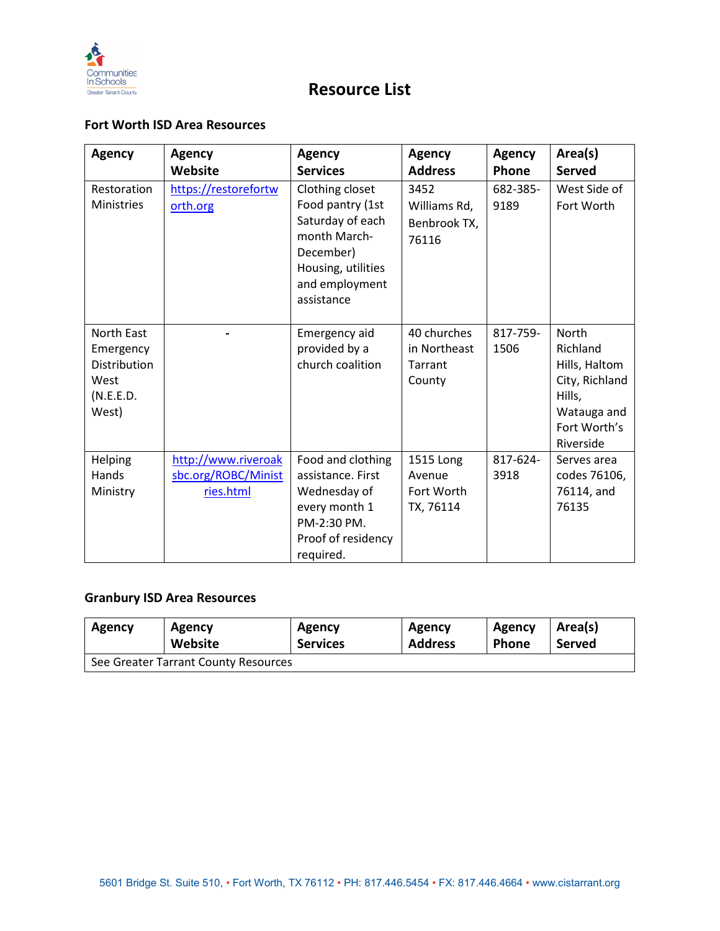

#### **Fort Worth ISD Area Resources**

| <b>Agency</b> | <b>Agency</b>        | <b>Agency</b>      | <b>Agency</b>  | <b>Agency</b> | Area(s)        |
|---------------|----------------------|--------------------|----------------|---------------|----------------|
|               | Website              | <b>Services</b>    | <b>Address</b> | Phone         | <b>Served</b>  |
| Restoration   | https://restorefortw | Clothing closet    | 3452           | 682-385-      | West Side of   |
| Ministries    | orth.org             | Food pantry (1st   | Williams Rd,   | 9189          | Fort Worth     |
|               |                      | Saturday of each   | Benbrook TX,   |               |                |
|               |                      | month March-       | 76116          |               |                |
|               |                      | December)          |                |               |                |
|               |                      | Housing, utilities |                |               |                |
|               |                      | and employment     |                |               |                |
|               |                      | assistance         |                |               |                |
|               |                      |                    |                |               |                |
| North East    |                      | Emergency aid      | 40 churches    | 817-759-      | <b>North</b>   |
| Emergency     |                      | provided by a      | in Northeast   | 1506          | Richland       |
| Distribution  |                      | church coalition   | Tarrant        |               | Hills, Haltom  |
| West          |                      |                    | County         |               | City, Richland |
| (N.E.E.D.     |                      |                    |                |               | Hills,         |
| West)         |                      |                    |                |               | Watauga and    |
|               |                      |                    |                |               | Fort Worth's   |
|               |                      |                    |                |               | Riverside      |
| Helping       | http://www.riveroak  | Food and clothing  | 1515 Long      | 817-624-      | Serves area    |
| Hands         | sbc.org/ROBC/Minist  | assistance. First  | Avenue         | 3918          | codes 76106,   |
| Ministry      | ries.html            | Wednesday of       | Fort Worth     |               | 76114, and     |
|               |                      | every month 1      | TX, 76114      |               | 76135          |
|               |                      | PM-2:30 PM.        |                |               |                |
|               |                      | Proof of residency |                |               |                |
|               |                      | required.          |                |               |                |

### **Granbury ISD Area Resources**

| Agency                               | Agency  | Agency          | Agency         | Agency | Area(s) |  |
|--------------------------------------|---------|-----------------|----------------|--------|---------|--|
|                                      | Website | <b>Services</b> | <b>Address</b> | Phone  | Served  |  |
| See Greater Tarrant County Resources |         |                 |                |        |         |  |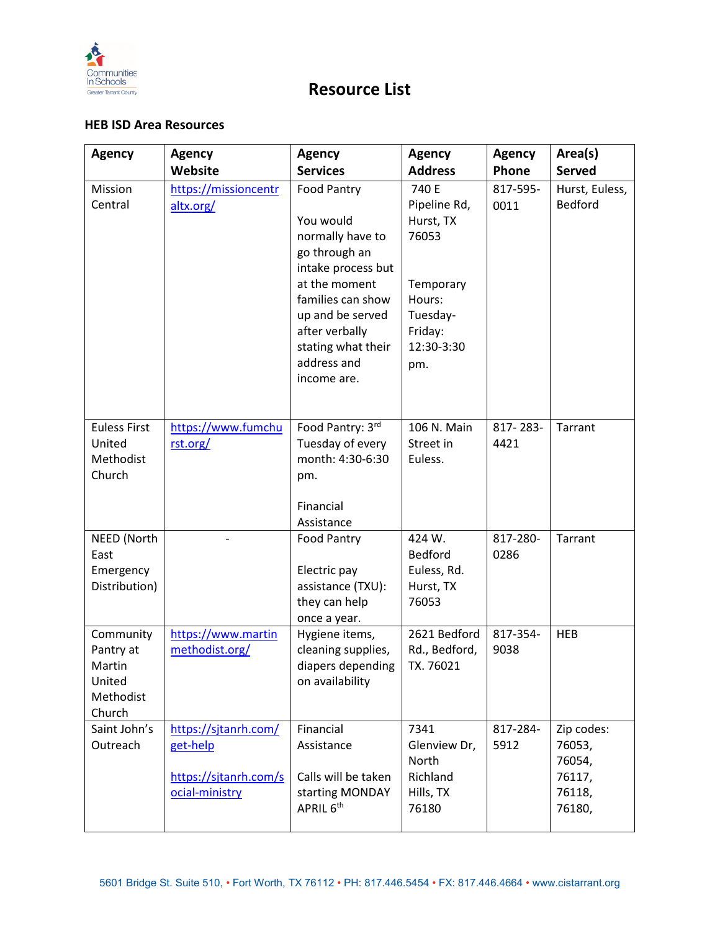

#### **HEB ISD Area Resources**

| <b>Agency</b>                                                     | <b>Agency</b>                                                               | <b>Agency</b>                                                                                                                                                                                                                                 | <b>Agency</b><br><b>Address</b>                                                                                | <b>Agency</b>             | Area(s)<br><b>Served</b>                                     |
|-------------------------------------------------------------------|-----------------------------------------------------------------------------|-----------------------------------------------------------------------------------------------------------------------------------------------------------------------------------------------------------------------------------------------|----------------------------------------------------------------------------------------------------------------|---------------------------|--------------------------------------------------------------|
| Mission<br>Central                                                | Website<br>https://missioncentr<br>altx.org/                                | <b>Services</b><br><b>Food Pantry</b><br>You would<br>normally have to<br>go through an<br>intake process but<br>at the moment<br>families can show<br>up and be served<br>after verbally<br>stating what their<br>address and<br>income are. | 740 E<br>Pipeline Rd,<br>Hurst, TX<br>76053<br>Temporary<br>Hours:<br>Tuesday-<br>Friday:<br>12:30-3:30<br>pm. | Phone<br>817-595-<br>0011 | Hurst, Euless,<br><b>Bedford</b>                             |
| <b>Euless First</b><br>United<br>Methodist<br>Church              | https://www.fumchu<br>rst.org/                                              | Food Pantry: 3rd<br>Tuesday of every<br>month: 4:30-6:30<br>pm.<br>Financial<br>Assistance                                                                                                                                                    | 106 N. Main<br>Street in<br>Euless.                                                                            | 817-283-<br>4421          | Tarrant                                                      |
| NEED (North<br>East<br>Emergency<br>Distribution)                 |                                                                             | Food Pantry<br>Electric pay<br>assistance (TXU):<br>they can help<br>once a year.                                                                                                                                                             | 424 W.<br><b>Bedford</b><br>Euless, Rd.<br>Hurst, TX<br>76053                                                  | 817-280-<br>0286          | Tarrant                                                      |
| Community<br>Pantry at<br>Martin<br>United<br>Methodist<br>Church | https://www.martin<br>methodist.org/                                        | Hygiene items,<br>cleaning supplies,<br>diapers depending<br>on availability                                                                                                                                                                  | 2621 Bedford<br>Rd., Bedford,<br>TX. 76021                                                                     | 817-354-<br>9038          | <b>HEB</b>                                                   |
| Saint John's<br>Outreach                                          | https://sjtanrh.com/<br>get-help<br>https://sjtanrh.com/s<br>ocial-ministry | Financial<br>Assistance<br>Calls will be taken<br>starting MONDAY<br>APRIL 6th                                                                                                                                                                | 7341<br>Glenview Dr,<br><b>North</b><br>Richland<br>Hills, TX<br>76180                                         | 817-284-<br>5912          | Zip codes:<br>76053,<br>76054,<br>76117,<br>76118,<br>76180, |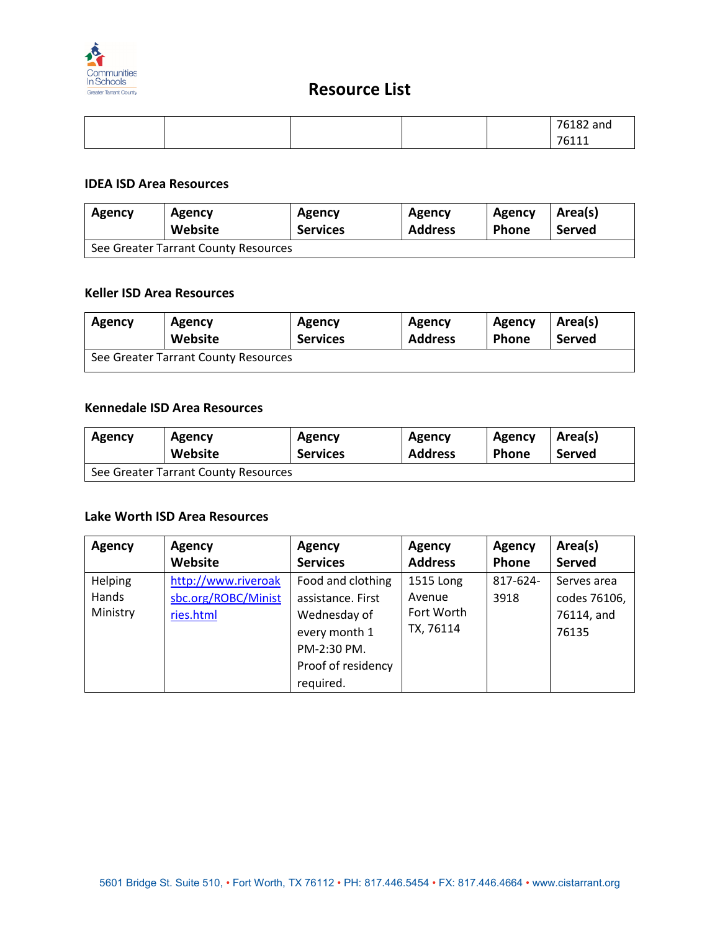

|  |  | 76197<br>and<br>---      |
|--|--|--------------------------|
|  |  | .111<br>$  -$<br>ᄀᆮ<br>. |

#### **IDEA ISD Area Resources**

| Agency                               | Agency  | Agency          | Agency         | Agency       | Area(s)       |  |
|--------------------------------------|---------|-----------------|----------------|--------------|---------------|--|
|                                      | Website | <b>Services</b> | <b>Address</b> | <b>Phone</b> | <b>Served</b> |  |
| See Greater Tarrant County Resources |         |                 |                |              |               |  |

#### **Keller ISD Area Resources**

| Agency                               | Agency  | <b>Agency</b>   | <b>Agency</b>  | Agency       | Area(s) |  |
|--------------------------------------|---------|-----------------|----------------|--------------|---------|--|
|                                      | Website | <b>Services</b> | <b>Address</b> | <b>Phone</b> | Served  |  |
| See Greater Tarrant County Resources |         |                 |                |              |         |  |

#### **Kennedale ISD Area Resources**

| Agency                               | Agency  | Agency          | Agency         | Agency       | Area(s) |  |
|--------------------------------------|---------|-----------------|----------------|--------------|---------|--|
|                                      | Website | <b>Services</b> | <b>Address</b> | <b>Phone</b> | Served  |  |
| See Greater Tarrant County Resources |         |                 |                |              |         |  |

#### **Lake Worth ISD Area Resources**

| <b>Agency</b> | Agency              | <b>Agency</b>      | Agency         | <b>Agency</b> | Area(s)       |
|---------------|---------------------|--------------------|----------------|---------------|---------------|
|               | Website             | <b>Services</b>    | <b>Address</b> | Phone         | <b>Served</b> |
| Helping       | http://www.riveroak | Food and clothing  | 1515 Long      | 817-624-      | Serves area   |
| Hands         | sbc.org/ROBC/Minist | assistance. First  | Avenue         | 3918          | codes 76106,  |
| Ministry      | ries.html           | Wednesday of       | Fort Worth     |               | 76114, and    |
|               |                     | every month 1      | TX, 76114      |               | 76135         |
|               |                     | PM-2:30 PM.        |                |               |               |
|               |                     | Proof of residency |                |               |               |
|               |                     | required.          |                |               |               |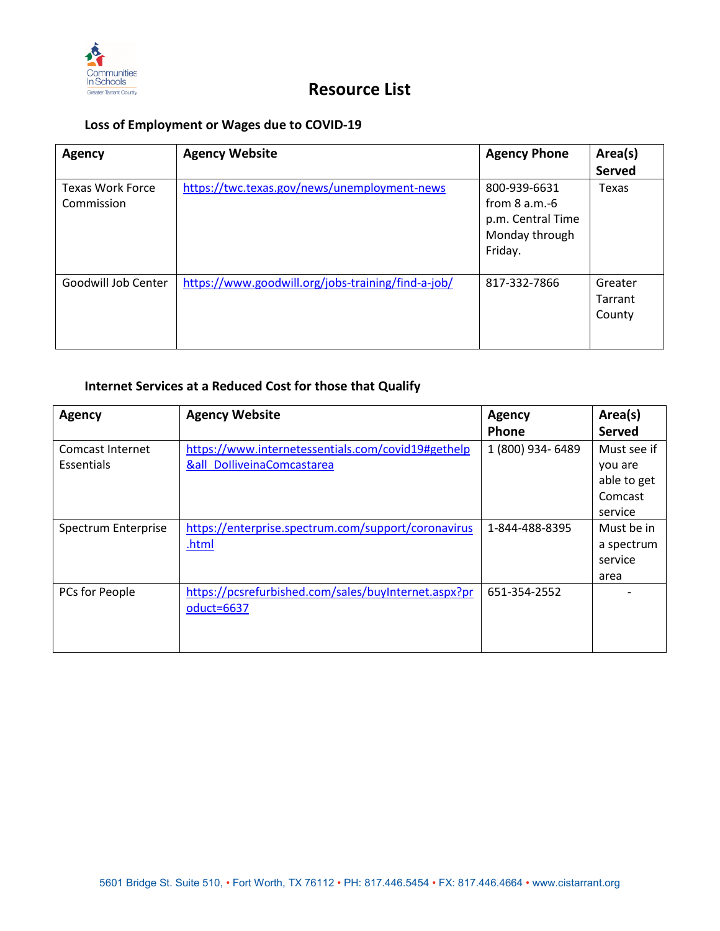

### **Loss of Employment or Wages due to COVID-19**

| <b>Agency</b>                         | <b>Agency Website</b>                              | <b>Agency Phone</b>                                                                  | Area(s)                      |
|---------------------------------------|----------------------------------------------------|--------------------------------------------------------------------------------------|------------------------------|
|                                       |                                                    |                                                                                      | <b>Served</b>                |
| <b>Texas Work Force</b><br>Commission | https://twc.texas.gov/news/unemployment-news       | 800-939-6631<br>from $8$ a.m.- $6$<br>p.m. Central Time<br>Monday through<br>Friday. | Texas                        |
| Goodwill Job Center                   | https://www.goodwill.org/jobs-training/find-a-job/ | 817-332-7866                                                                         | Greater<br>Tarrant<br>County |

### **Internet Services at a Reduced Cost for those that Qualify**

| Agency              | <b>Agency Website</b>                                | <b>Agency</b>    | Area(s)       |
|---------------------|------------------------------------------------------|------------------|---------------|
|                     |                                                      | <b>Phone</b>     | <b>Served</b> |
| Comcast Internet    | https://www.internetessentials.com/covid19#gethelp   | 1 (800) 934-6489 | Must see if   |
| <b>Essentials</b>   | &all DolliveinaComcastarea                           |                  | you are       |
|                     |                                                      |                  | able to get   |
|                     |                                                      |                  | Comcast       |
|                     |                                                      |                  | service       |
| Spectrum Enterprise | https://enterprise.spectrum.com/support/coronavirus  | 1-844-488-8395   | Must be in    |
|                     | .html                                                |                  | a spectrum    |
|                     |                                                      |                  | service       |
|                     |                                                      |                  | area          |
| PCs for People      | https://pcsrefurbished.com/sales/buyInternet.aspx?pr | 651-354-2552     |               |
|                     | oduct=6637                                           |                  |               |
|                     |                                                      |                  |               |
|                     |                                                      |                  |               |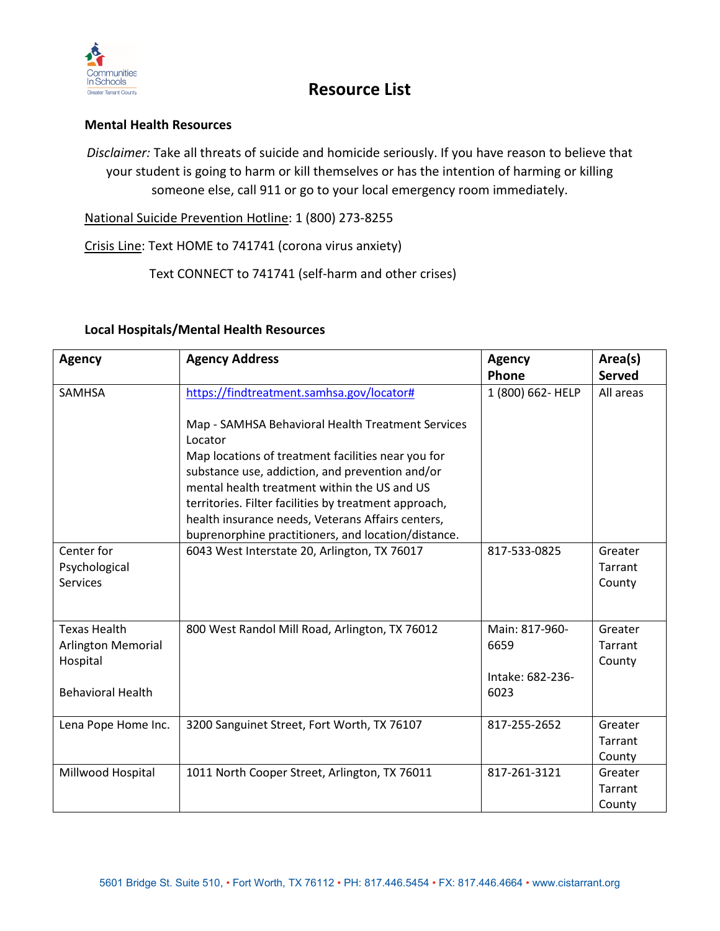

#### **Mental Health Resources**

*Disclaimer:* Take all threats of suicide and homicide seriously. If you have reason to believe that your student is going to harm or kill themselves or has the intention of harming or killing someone else, call 911 or go to your local emergency room immediately.

National Suicide Prevention Hotline: 1 (800) 273-8255

Crisis Line: Text HOME to 741741 (corona virus anxiety)

Text CONNECT to 741741 (self-harm and other crises)

#### **Local Hospitals/Mental Health Resources**

| <b>Agency</b>                                                                            | <b>Agency Address</b>                                                                                                                                                                                                                                                                                                               | <b>Agency</b>                                      | Area(s)                      |
|------------------------------------------------------------------------------------------|-------------------------------------------------------------------------------------------------------------------------------------------------------------------------------------------------------------------------------------------------------------------------------------------------------------------------------------|----------------------------------------------------|------------------------------|
|                                                                                          |                                                                                                                                                                                                                                                                                                                                     | Phone                                              | <b>Served</b>                |
| <b>SAMHSA</b>                                                                            | https://findtreatment.samhsa.gov/locator#                                                                                                                                                                                                                                                                                           | 1 (800) 662- HELP                                  | All areas                    |
|                                                                                          | Map - SAMHSA Behavioral Health Treatment Services<br>Locator<br>Map locations of treatment facilities near you for<br>substance use, addiction, and prevention and/or<br>mental health treatment within the US and US<br>territories. Filter facilities by treatment approach,<br>health insurance needs, Veterans Affairs centers, |                                                    |                              |
|                                                                                          | buprenorphine practitioners, and location/distance.                                                                                                                                                                                                                                                                                 |                                                    |                              |
| Center for<br>Psychological<br><b>Services</b>                                           | 6043 West Interstate 20, Arlington, TX 76017                                                                                                                                                                                                                                                                                        | 817-533-0825                                       | Greater<br>Tarrant<br>County |
| <b>Texas Health</b><br><b>Arlington Memorial</b><br>Hospital<br><b>Behavioral Health</b> | 800 West Randol Mill Road, Arlington, TX 76012                                                                                                                                                                                                                                                                                      | Main: 817-960-<br>6659<br>Intake: 682-236-<br>6023 | Greater<br>Tarrant<br>County |
| Lena Pope Home Inc.                                                                      | 3200 Sanguinet Street, Fort Worth, TX 76107                                                                                                                                                                                                                                                                                         | 817-255-2652                                       | Greater<br>Tarrant<br>County |
| Millwood Hospital                                                                        | 1011 North Cooper Street, Arlington, TX 76011                                                                                                                                                                                                                                                                                       | 817-261-3121                                       | Greater<br>Tarrant<br>County |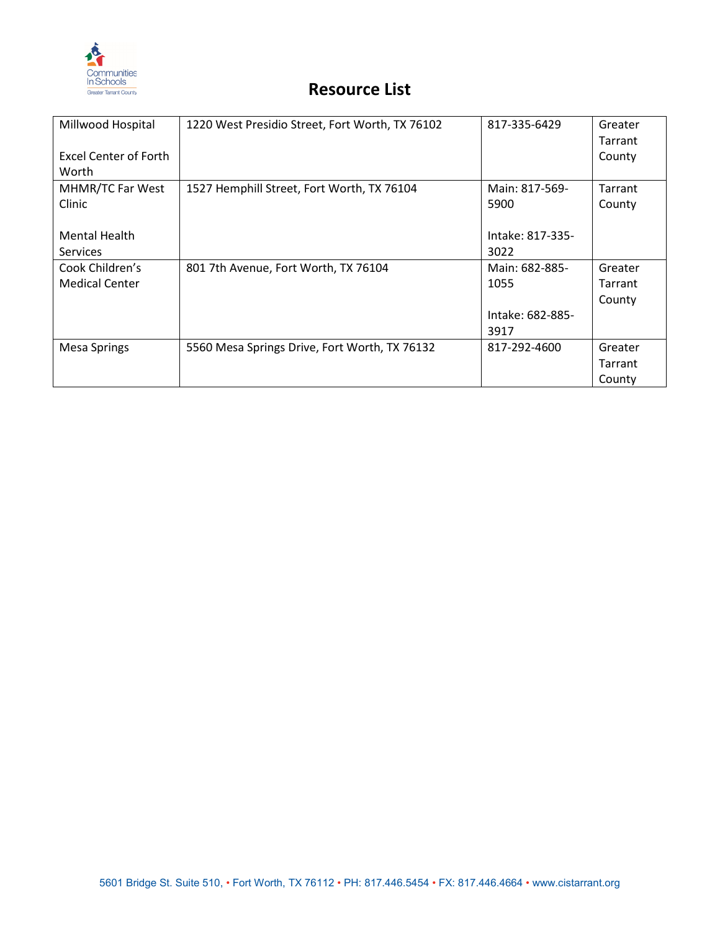

| Millwood Hospital     | 1220 West Presidio Street, Fort Worth, TX 76102 | 817-335-6429     | Greater |
|-----------------------|-------------------------------------------------|------------------|---------|
|                       |                                                 |                  | Tarrant |
| Excel Center of Forth |                                                 |                  | County  |
| Worth                 |                                                 |                  |         |
| MHMR/TC Far West      | 1527 Hemphill Street, Fort Worth, TX 76104      | Main: 817-569-   | Tarrant |
| Clinic                |                                                 | 5900             | County  |
|                       |                                                 |                  |         |
| Mental Health         |                                                 | Intake: 817-335- |         |
| <b>Services</b>       |                                                 | 3022             |         |
| Cook Children's       | 801 7th Avenue, Fort Worth, TX 76104            | Main: 682-885-   | Greater |
| <b>Medical Center</b> |                                                 | 1055             | Tarrant |
|                       |                                                 |                  | County  |
|                       |                                                 | Intake: 682-885- |         |
|                       |                                                 | 3917             |         |
| <b>Mesa Springs</b>   | 5560 Mesa Springs Drive, Fort Worth, TX 76132   | 817-292-4600     | Greater |
|                       |                                                 |                  | Tarrant |
|                       |                                                 |                  | County  |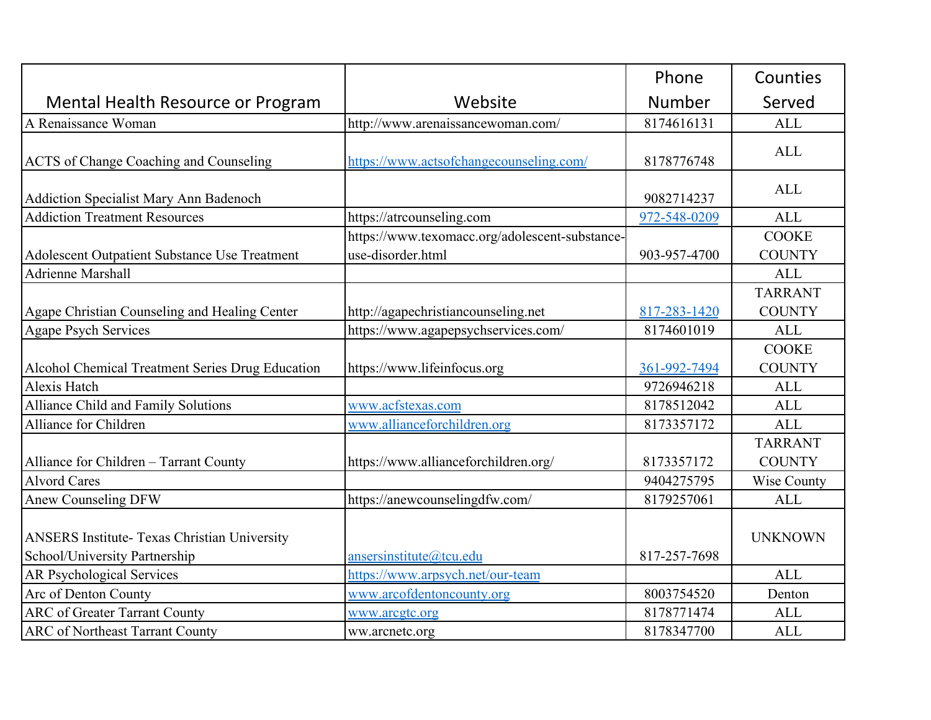|                                                                                      |                                                | Phone        | Counties                        |
|--------------------------------------------------------------------------------------|------------------------------------------------|--------------|---------------------------------|
| Mental Health Resource or Program                                                    | Website                                        | Number       | Served                          |
| A Renaissance Woman                                                                  | http://www.arenaissancewoman.com/              | 8174616131   | <b>ALL</b>                      |
| <b>ACTS</b> of Change Coaching and Counseling                                        | https://www.actsofchangecounseling.com/        | 8178776748   | <b>ALL</b>                      |
| <b>Addiction Specialist Mary Ann Badenoch</b>                                        |                                                | 9082714237   | <b>ALL</b>                      |
| <b>Addiction Treatment Resources</b>                                                 | https://atrcounseling.com                      | 972-548-0209 | <b>ALL</b>                      |
|                                                                                      | https://www.texomacc.org/adolescent-substance- |              | <b>COOKE</b>                    |
| Adolescent Outpatient Substance Use Treatment                                        | use-disorder.html                              | 903-957-4700 | <b>COUNTY</b>                   |
| <b>Adrienne Marshall</b>                                                             |                                                |              | <b>ALL</b>                      |
|                                                                                      |                                                |              | <b>TARRANT</b>                  |
| Agape Christian Counseling and Healing Center                                        | http://agapechristiancounseling.net            | 817-283-1420 | <b>COUNTY</b>                   |
| <b>Agape Psych Services</b>                                                          | https://www.agapepsychservices.com/            | 8174601019   | <b>ALL</b>                      |
|                                                                                      |                                                |              | <b>COOKE</b>                    |
| Alcohol Chemical Treatment Series Drug Education                                     | https://www.lifeinfocus.org                    | 361-992-7494 | <b>COUNTY</b>                   |
| <b>Alexis Hatch</b>                                                                  |                                                | 9726946218   | <b>ALL</b>                      |
| Alliance Child and Family Solutions                                                  | www.acfstexas.com                              | 8178512042   | <b>ALL</b>                      |
| Alliance for Children                                                                | www.allianceforchildren.org                    | 8173357172   | <b>ALL</b>                      |
| Alliance for Children - Tarrant County                                               | https://www.allianceforchildren.org/           | 8173357172   | <b>TARRANT</b><br><b>COUNTY</b> |
| <b>Alvord Cares</b>                                                                  |                                                | 9404275795   | Wise County                     |
| <b>Anew Counseling DFW</b>                                                           | https://anewcounselingdfw.com/                 | 8179257061   | <b>ALL</b>                      |
| <b>ANSERS Institute- Texas Christian University</b><br>School/University Partnership | ansersinstitute@tcu.edu                        | 817-257-7698 | <b>UNKNOWN</b>                  |
| <b>AR Psychological Services</b>                                                     | https://www.arpsych.net/our-team               |              | <b>ALL</b>                      |
| Arc of Denton County                                                                 | www.arcofdentoncounty.org                      | 8003754520   | Denton                          |
| <b>ARC</b> of Greater Tarrant County                                                 | www.arcgtc.org                                 | 8178771474   | <b>ALL</b>                      |
| <b>ARC</b> of Northeast Tarrant County                                               | ww.arcnetc.org                                 | 8178347700   | <b>ALL</b>                      |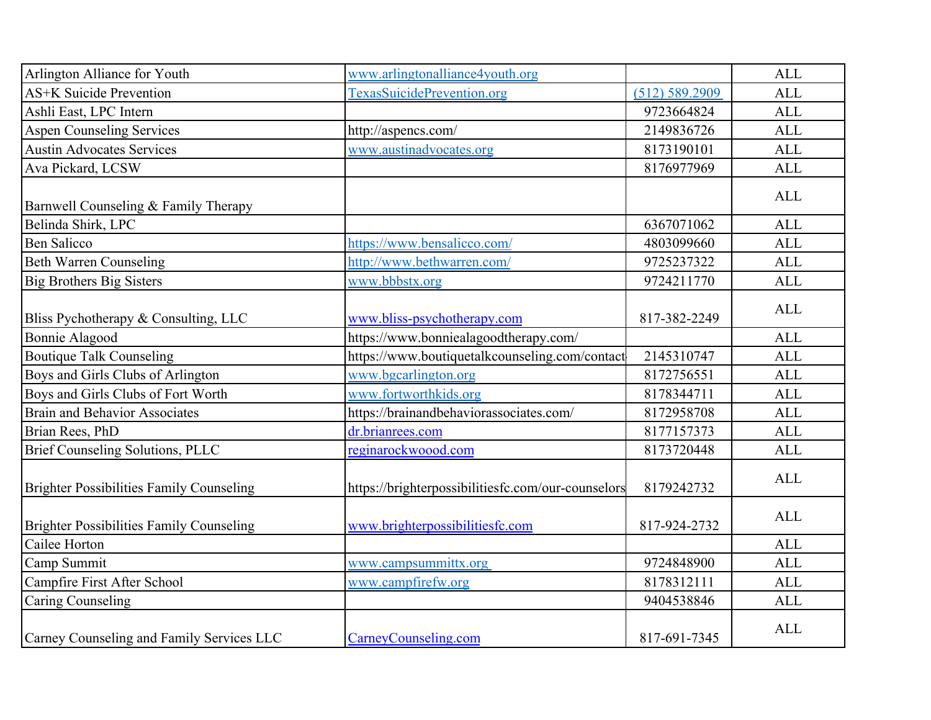| Arlington Alliance for Youth                    | www.arlingtonalliance4youth.org                    |                | <b>ALL</b> |
|-------------------------------------------------|----------------------------------------------------|----------------|------------|
| <b>AS+K Suicide Prevention</b>                  | TexasSuicidePrevention.org                         | (512) 589.2909 | <b>ALL</b> |
| Ashli East, LPC Intern                          |                                                    | 9723664824     | <b>ALL</b> |
| <b>Aspen Counseling Services</b>                | http://aspencs.com/                                | 2149836726     | <b>ALL</b> |
| <b>Austin Advocates Services</b>                | www.austinadvocates.org                            | 8173190101     | <b>ALL</b> |
| Ava Pickard, LCSW                               |                                                    | 8176977969     | <b>ALL</b> |
| Barnwell Counseling & Family Therapy            |                                                    |                | <b>ALL</b> |
| Belinda Shirk, LPC                              |                                                    | 6367071062     | <b>ALL</b> |
| <b>Ben Salicco</b>                              | https://www.bensalicco.com/                        | 4803099660     | <b>ALL</b> |
| <b>Beth Warren Counseling</b>                   | http://www.bethwarren.com/                         | 9725237322     | <b>ALL</b> |
| <b>Big Brothers Big Sisters</b>                 | www.bbbstx.org                                     | 9724211770     | <b>ALL</b> |
| Bliss Pychotherapy & Consulting, LLC            | www.bliss-psychotherapy.com                        | 817-382-2249   | <b>ALL</b> |
| <b>Bonnie Alagood</b>                           | https://www.bonniealagoodtherapy.com/              |                | <b>ALL</b> |
| <b>Boutique Talk Counseling</b>                 | https://www.boutiquetalkcounseling.com/contact     | 2145310747     | <b>ALL</b> |
| Boys and Girls Clubs of Arlington               | www.bgcarlington.org                               | 8172756551     | <b>ALL</b> |
| Boys and Girls Clubs of Fort Worth              | www.fortworthkids.org                              | 8178344711     | <b>ALL</b> |
| <b>Brain and Behavior Associates</b>            | https://brainandbehaviorassociates.com/            | 8172958708     | <b>ALL</b> |
| Brian Rees, PhD                                 | dr.brianrees.com                                   | 8177157373     | <b>ALL</b> |
| Brief Counseling Solutions, PLLC                | reginarockwoood.com                                | 8173720448     | <b>ALL</b> |
| <b>Brighter Possibilities Family Counseling</b> | https://brighterpossibilitiesfc.com/our-counselors | 8179242732     | <b>ALL</b> |
| <b>Brighter Possibilities Family Counseling</b> | www.brighterpossibilitiesfc.com                    | 817-924-2732   | <b>ALL</b> |
| Cailee Horton                                   |                                                    |                | <b>ALL</b> |
| Camp Summit                                     | www.campsummittx.org                               | 9724848900     | <b>ALL</b> |
| Campfire First After School                     | www.campfirefw.org                                 | 8178312111     | <b>ALL</b> |
| Caring Counseling                               |                                                    | 9404538846     | <b>ALL</b> |
| Carney Counseling and Family Services LLC       | CarneyCounseling.com                               | 817-691-7345   | <b>ALL</b> |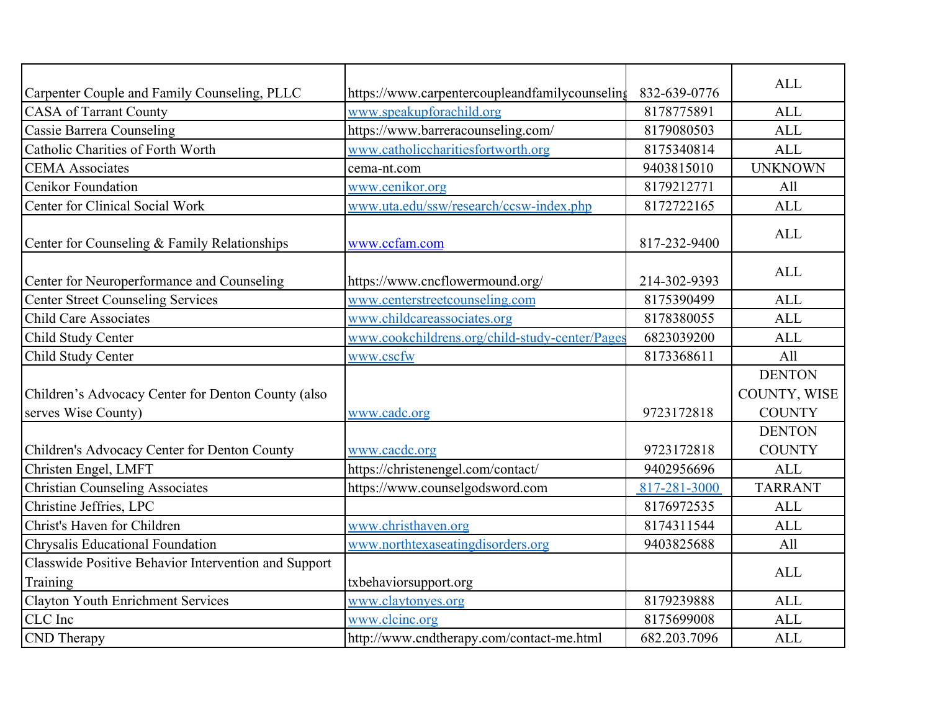| Carpenter Couple and Family Counseling, PLLC         | https://www.carpentercoupleandfamilycounseling | 832-639-0776 | <b>ALL</b>                     |
|------------------------------------------------------|------------------------------------------------|--------------|--------------------------------|
| <b>CASA of Tarrant County</b>                        | www.speakupforachild.org                       | 8178775891   | <b>ALL</b>                     |
| <b>Cassie Barrera Counseling</b>                     | https://www.barreracounseling.com/             | 8179080503   | <b>ALL</b>                     |
| Catholic Charities of Forth Worth                    | www.catholiccharitiesfortworth.org             | 8175340814   | <b>ALL</b>                     |
| <b>CEMA</b> Associates                               | cema-nt.com                                    | 9403815010   | <b>UNKNOWN</b>                 |
| Cenikor Foundation                                   | www.cenikor.org                                | 8179212771   | All                            |
| Center for Clinical Social Work                      | www.uta.edu/ssw/research/ccsw-index.php        | 8172722165   | <b>ALL</b>                     |
| Center for Counseling & Family Relationships         | www.ccfam.com                                  | 817-232-9400 | <b>ALL</b>                     |
| Center for Neuroperformance and Counseling           | https://www.cncflowermound.org/                | 214-302-9393 | <b>ALL</b>                     |
| <b>Center Street Counseling Services</b>             | www.centerstreetcounseling.com                 | 8175390499   | <b>ALL</b>                     |
| <b>Child Care Associates</b>                         | www.childcareassociates.org                    | 8178380055   | <b>ALL</b>                     |
| Child Study Center                                   | www.cookchildrens.org/child-study-center/Pages | 6823039200   | <b>ALL</b>                     |
| Child Study Center                                   | www.cscfw                                      | 8173368611   | All                            |
| Children's Advocacy Center for Denton County (also   |                                                |              | <b>DENTON</b><br>COUNTY, WISE  |
| serves Wise County)                                  | www.cadc.org                                   | 9723172818   | <b>COUNTY</b>                  |
| Children's Advocacy Center for Denton County         | www.cacdc.org                                  | 9723172818   | <b>DENTON</b><br><b>COUNTY</b> |
| Christen Engel, LMFT                                 | https://christenengel.com/contact/             | 9402956696   | <b>ALL</b>                     |
| <b>Christian Counseling Associates</b>               | https://www.counselgodsword.com                | 817-281-3000 | <b>TARRANT</b>                 |
| Christine Jeffries, LPC                              |                                                | 8176972535   | <b>ALL</b>                     |
| Christ's Haven for Children                          | www.christhaven.org                            | 8174311544   | <b>ALL</b>                     |
| Chrysalis Educational Foundation                     | www.northtexaseatingdisorders.org              | 9403825688   | All                            |
| Classwide Positive Behavior Intervention and Support |                                                |              | <b>ALL</b>                     |
| Training                                             | txbehaviorsupport.org                          |              |                                |
| <b>Clayton Youth Enrichment Services</b>             | www.claytonyes.org                             | 8179239888   | <b>ALL</b>                     |
| CLC Inc                                              | www.clcinc.org                                 | 8175699008   | <b>ALL</b>                     |
| <b>CND</b> Therapy                                   | http://www.cndtherapy.com/contact-me.html      | 682.203.7096 | <b>ALL</b>                     |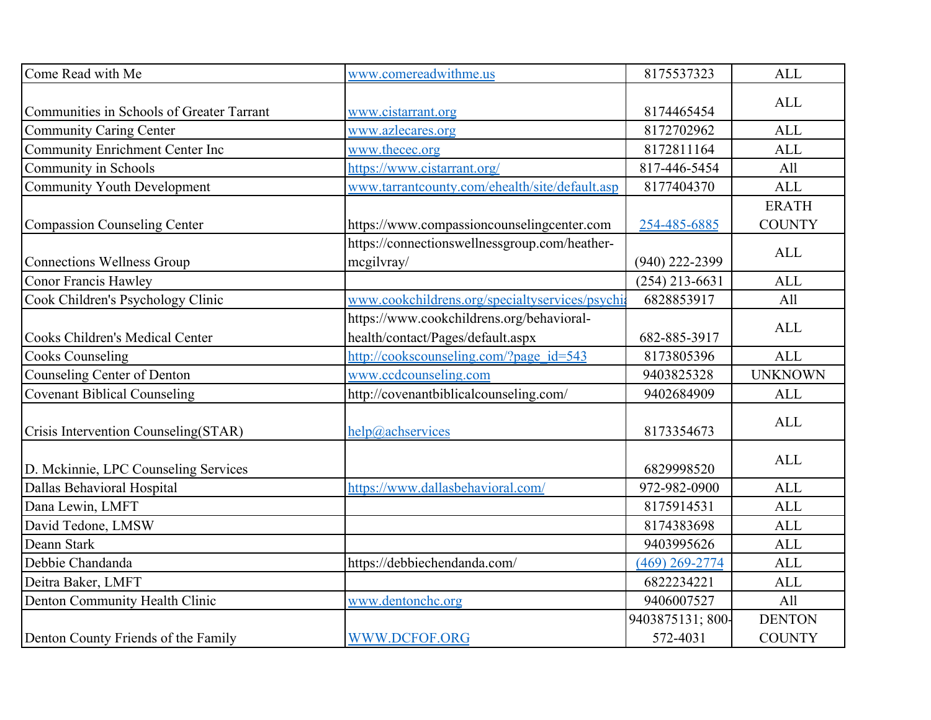| Come Read with Me                         | www.comereadwithme.us                                                          | 8175537323       | <b>ALL</b>     |
|-------------------------------------------|--------------------------------------------------------------------------------|------------------|----------------|
| Communities in Schools of Greater Tarrant | www.cistarrant.org                                                             | 8174465454       | <b>ALL</b>     |
| <b>Community Caring Center</b>            | www.azlecares.org                                                              | 8172702962       | <b>ALL</b>     |
| Community Enrichment Center Inc           | www.thecec.org                                                                 | 8172811164       | <b>ALL</b>     |
| Community in Schools                      | https://www.cistarrant.org/                                                    | 817-446-5454     | All            |
| Community Youth Development               | www.tarrantcounty.com/ehealth/site/default.asp                                 | 8177404370       | <b>ALL</b>     |
|                                           |                                                                                |                  | <b>ERATH</b>   |
| Compassion Counseling Center              | https://www.compassioncounselingcenter.com                                     | 254-485-6885     | <b>COUNTY</b>  |
| <b>Connections Wellness Group</b>         | https://connectionswellnessgroup.com/heather-<br>mcgilvray/                    | $(940)$ 222-2399 | <b>ALL</b>     |
| Conor Francis Hawley                      |                                                                                | $(254)$ 213-6631 | <b>ALL</b>     |
| Cook Children's Psychology Clinic         | www.cookchildrens.org/specialtyservices/psychia                                | 6828853917       | All            |
| Cooks Children's Medical Center           | https://www.cookchildrens.org/behavioral-<br>health/contact/Pages/default.aspx | 682-885-3917     | <b>ALL</b>     |
| <b>Cooks Counseling</b>                   | http://cookscounseling.com/?page_id=543                                        | 8173805396       | <b>ALL</b>     |
| Counseling Center of Denton               | www.ccdcounseling.com                                                          | 9403825328       | <b>UNKNOWN</b> |
| <b>Covenant Biblical Counseling</b>       | http://covenantbiblicalcounseling.com/                                         | 9402684909       | <b>ALL</b>     |
| Crisis Intervention Counseling(STAR)      | help@achservices                                                               | 8173354673       | <b>ALL</b>     |
| D. Mckinnie, LPC Counseling Services      |                                                                                | 6829998520       | ALL            |
| Dallas Behavioral Hospital                | https://www.dallasbehavioral.com/                                              | 972-982-0900     | <b>ALL</b>     |
| Dana Lewin, LMFT                          |                                                                                | 8175914531       | <b>ALL</b>     |
| David Tedone, LMSW                        |                                                                                | 8174383698       | <b>ALL</b>     |
| Deann Stark                               |                                                                                | 9403995626       | <b>ALL</b>     |
| Debbie Chandanda                          | https://debbiechendanda.com/                                                   | $(469)$ 269-2774 | <b>ALL</b>     |
| Deitra Baker, LMFT                        |                                                                                | 6822234221       | ALL            |
| Denton Community Health Clinic            | www.dentonchc.org                                                              | 9406007527       | All            |
|                                           |                                                                                | 9403875131; 800- | <b>DENTON</b>  |
| Denton County Friends of the Family       | WWW.DCFOF.ORG                                                                  | 572-4031         | <b>COUNTY</b>  |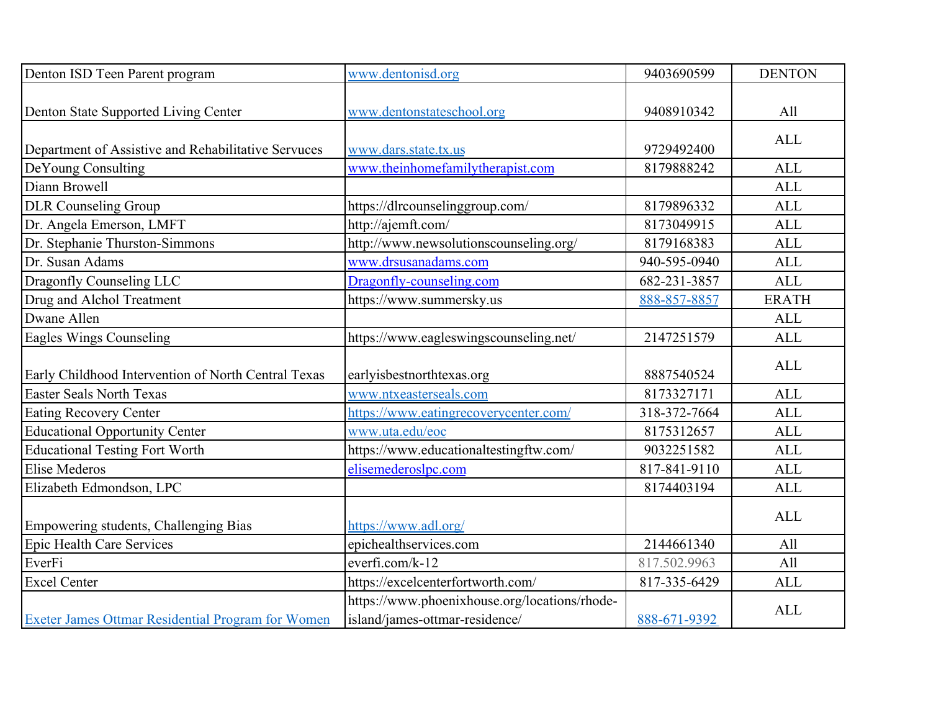| Denton ISD Teen Parent program                           | www.dentonisd.org                             | 9403690599   | <b>DENTON</b> |
|----------------------------------------------------------|-----------------------------------------------|--------------|---------------|
|                                                          |                                               |              |               |
| Denton State Supported Living Center                     | www.dentonstateschool.org                     | 9408910342   | All           |
|                                                          |                                               |              | <b>ALL</b>    |
| Department of Assistive and Rehabilitative Servuces      | www.dars.state.tx.us                          | 9729492400   |               |
| DeYoung Consulting                                       | www.theinhomefamilytherapist.com              | 8179888242   | <b>ALL</b>    |
| Diann Browell                                            |                                               |              | <b>ALL</b>    |
| <b>DLR</b> Counseling Group                              | https://dlrcounselinggroup.com/               | 8179896332   | <b>ALL</b>    |
| Dr. Angela Emerson, LMFT                                 | http://ajemft.com/                            | 8173049915   | <b>ALL</b>    |
| Dr. Stephanie Thurston-Simmons                           | http://www.newsolutionscounseling.org/        | 8179168383   | <b>ALL</b>    |
| Dr. Susan Adams                                          | www.drsusanadams.com                          | 940-595-0940 | <b>ALL</b>    |
| Dragonfly Counseling LLC                                 | Dragonfly-counseling.com                      | 682-231-3857 | <b>ALL</b>    |
| Drug and Alchol Treatment                                | https://www.summersky.us                      | 888-857-8857 | <b>ERATH</b>  |
| Dwane Allen                                              |                                               |              | <b>ALL</b>    |
| <b>Eagles Wings Counseling</b>                           | https://www.eagleswingscounseling.net/        | 2147251579   | <b>ALL</b>    |
|                                                          |                                               |              |               |
| Early Childhood Intervention of North Central Texas      | earlyisbestnorthtexas.org                     | 8887540524   | <b>ALL</b>    |
| <b>Easter Seals North Texas</b>                          | www.ntxeasterseals.com                        | 8173327171   | <b>ALL</b>    |
| Eating Recovery Center                                   | https://www.eatingrecoverycenter.com/         | 318-372-7664 | <b>ALL</b>    |
| <b>Educational Opportunity Center</b>                    | www.uta.edu/eoc                               | 8175312657   | <b>ALL</b>    |
| <b>Educational Testing Fort Worth</b>                    | https://www.educationaltestingftw.com/        | 9032251582   | <b>ALL</b>    |
| Elise Mederos                                            | elisemederoslpc.com                           | 817-841-9110 | <b>ALL</b>    |
| Elizabeth Edmondson, LPC                                 |                                               | 8174403194   | <b>ALL</b>    |
|                                                          |                                               |              |               |
| Empowering students, Challenging Bias                    | https://www.adl.org/                          |              | <b>ALL</b>    |
| Epic Health Care Services                                | epichealthservices.com                        | 2144661340   | All           |
| EverFi                                                   | everfi.com/k-12                               | 817.502.9963 | All           |
| <b>Excel Center</b>                                      | https://excelcenterfortworth.com/             | 817-335-6429 | <b>ALL</b>    |
|                                                          | https://www.phoenixhouse.org/locations/rhode- |              |               |
| <b>Exeter James Ottmar Residential Program for Women</b> | island/james-ottmar-residence/                | 888-671-9392 | <b>ALL</b>    |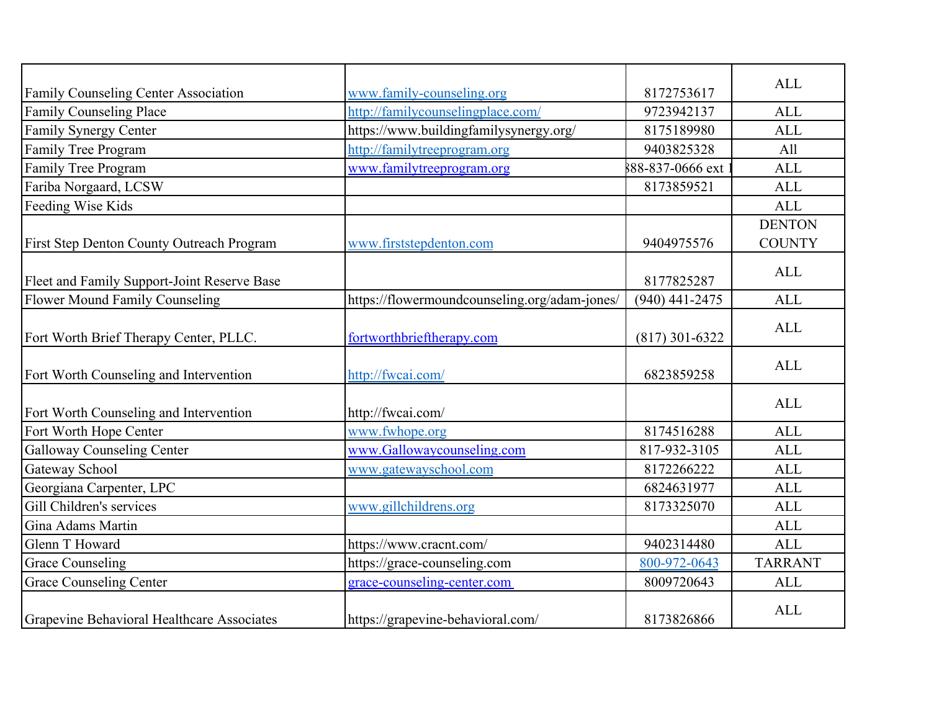| <b>Family Counseling Center Association</b> | www.family-counseling.org                     | 8172753617       | <b>ALL</b>     |
|---------------------------------------------|-----------------------------------------------|------------------|----------------|
| Family Counseling Place                     | http://familycounselingplace.com/             | 9723942137       | <b>ALL</b>     |
| Family Synergy Center                       | https://www.buildingfamilysynergy.org/        | 8175189980       | <b>ALL</b>     |
| Family Tree Program                         | http://familytreeprogram.org                  | 9403825328       | All            |
| Family Tree Program                         | www.familytreeprogram.org                     | 888-837-0666 ext | <b>ALL</b>     |
| Fariba Norgaard, LCSW                       |                                               | 8173859521       | <b>ALL</b>     |
| Feeding Wise Kids                           |                                               |                  | <b>ALL</b>     |
|                                             |                                               |                  | <b>DENTON</b>  |
| First Step Denton County Outreach Program   | www.firststepdenton.com                       | 9404975576       | <b>COUNTY</b>  |
|                                             |                                               |                  | <b>ALL</b>     |
| Fleet and Family Support-Joint Reserve Base |                                               | 8177825287       |                |
| Flower Mound Family Counseling              | https://flowermoundcounseling.org/adam-jones/ | $(940)$ 441-2475 | <b>ALL</b>     |
|                                             |                                               |                  | <b>ALL</b>     |
| Fort Worth Brief Therapy Center, PLLC.      | fortworthbrieftherapy.com                     | $(817)$ 301-6322 |                |
|                                             |                                               |                  | <b>ALL</b>     |
| Fort Worth Counseling and Intervention      | http://fwcai.com/                             | 6823859258       |                |
|                                             |                                               |                  | <b>ALL</b>     |
| Fort Worth Counseling and Intervention      | http://fwcai.com/                             |                  |                |
| Fort Worth Hope Center                      | www.fwhope.org                                | 8174516288       | <b>ALL</b>     |
| <b>Galloway Counseling Center</b>           | www.Gallowaycounseling.com                    | 817-932-3105     | <b>ALL</b>     |
| Gateway School                              | www.gatewayschool.com                         | 8172266222       | <b>ALL</b>     |
| Georgiana Carpenter, LPC                    |                                               | 6824631977       | <b>ALL</b>     |
| Gill Children's services                    | www.gillchildrens.org                         | 8173325070       | <b>ALL</b>     |
| Gina Adams Martin                           |                                               |                  | <b>ALL</b>     |
| Glenn T Howard                              | https://www.cracnt.com/                       | 9402314480       | <b>ALL</b>     |
| <b>Grace Counseling</b>                     | https://grace-counseling.com                  | 800-972-0643     | <b>TARRANT</b> |
| <b>Grace Counseling Center</b>              | grace-counseling-center.com                   | 8009720643       | <b>ALL</b>     |
| Grapevine Behavioral Healthcare Associates  | https://grapevine-behavioral.com/             | 8173826866       | <b>ALL</b>     |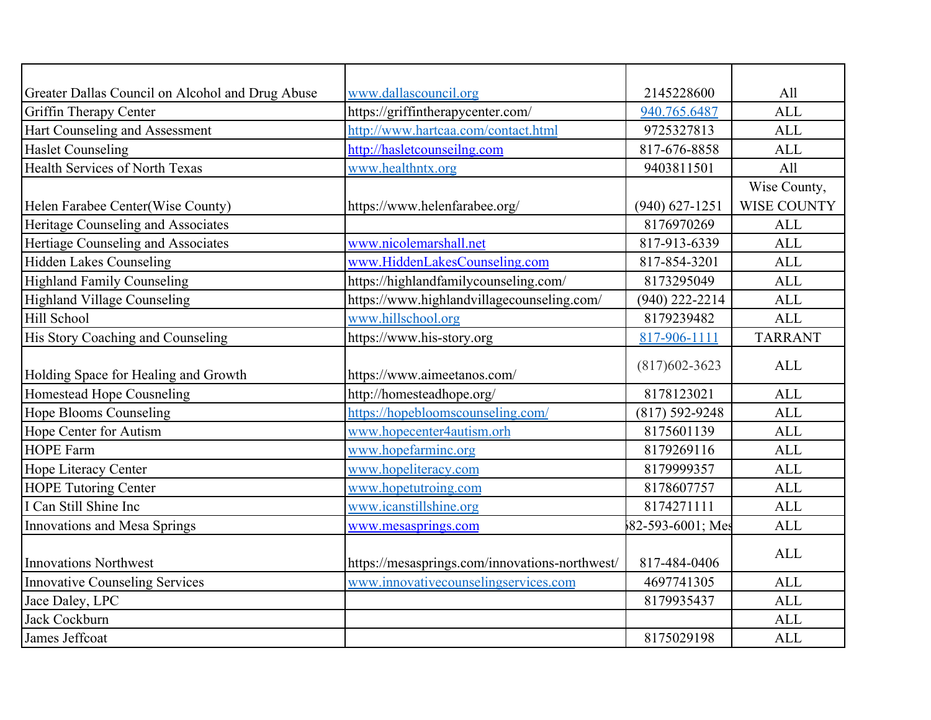| Greater Dallas Council on Alcohol and Drug Abuse | www.dallascouncil.org                          | 2145228600         | All                |
|--------------------------------------------------|------------------------------------------------|--------------------|--------------------|
| Griffin Therapy Center                           | https://griffintherapycenter.com/              | 940.765.6487       | <b>ALL</b>         |
| Hart Counseling and Assessment                   | http://www.hartcaa.com/contact.html            | 9725327813         | <b>ALL</b>         |
| <b>Haslet Counseling</b>                         | http://hasletcounseilng.com                    | 817-676-8858       | <b>ALL</b>         |
| <b>Health Services of North Texas</b>            | www.healthntx.org                              | 9403811501         | All                |
|                                                  |                                                |                    | Wise County,       |
| Helen Farabee Center(Wise County)                | https://www.helenfarabee.org/                  | $(940) 627 - 1251$ | <b>WISE COUNTY</b> |
| Heritage Counseling and Associates               |                                                | 8176970269         | <b>ALL</b>         |
| Hertiage Counseling and Associates               | www.nicolemarshall.net                         | 817-913-6339       | <b>ALL</b>         |
| <b>Hidden Lakes Counseling</b>                   | www.HiddenLakesCounseling.com                  | 817-854-3201       | <b>ALL</b>         |
| <b>Highland Family Counseling</b>                | https://highlandfamilycounseling.com/          | 8173295049         | <b>ALL</b>         |
| <b>Highland Village Counseling</b>               | https://www.highlandvillagecounseling.com/     | $(940)$ 222-2214   | <b>ALL</b>         |
| Hill School                                      | www.hillschool.org                             | 8179239482         | <b>ALL</b>         |
| His Story Coaching and Counseling                | https://www.his-story.org                      | 817-906-1111       | <b>TARRANT</b>     |
| Holding Space for Healing and Growth             | https://www.aimeetanos.com/                    | $(817)602 - 3623$  | <b>ALL</b>         |
| Homestead Hope Cousneling                        | http://homesteadhope.org/                      | 8178123021         | <b>ALL</b>         |
| <b>Hope Blooms Counseling</b>                    | https://hopebloomscounseling.com/              | $(817) 592 - 9248$ | <b>ALL</b>         |
| Hope Center for Autism                           | www.hopecenter4autism.orh                      | 8175601139         | <b>ALL</b>         |
| <b>HOPE Farm</b>                                 | www.hopefarminc.org                            | 8179269116         | <b>ALL</b>         |
| <b>Hope Literacy Center</b>                      | www.hopeliteracy.com                           | 8179999357         | <b>ALL</b>         |
| <b>HOPE Tutoring Center</b>                      | www.hopetutroing.com                           | 8178607757         | <b>ALL</b>         |
| I Can Still Shine Inc                            | www.icanstillshine.org                         | 8174271111         | <b>ALL</b>         |
| Innovations and Mesa Springs                     | www.mesasprings.com                            | 82-593-6001; Mes   | <b>ALL</b>         |
| <b>Innovations Northwest</b>                     | https://mesasprings.com/innovations-northwest/ | 817-484-0406       | <b>ALL</b>         |
| <b>Innovative Counseling Services</b>            | www.innovativecounselingservices.com           | 4697741305         | <b>ALL</b>         |
| Jace Daley, LPC                                  |                                                | 8179935437         | <b>ALL</b>         |
| Jack Cockburn                                    |                                                |                    | <b>ALL</b>         |
| James Jeffcoat                                   |                                                | 8175029198         | <b>ALL</b>         |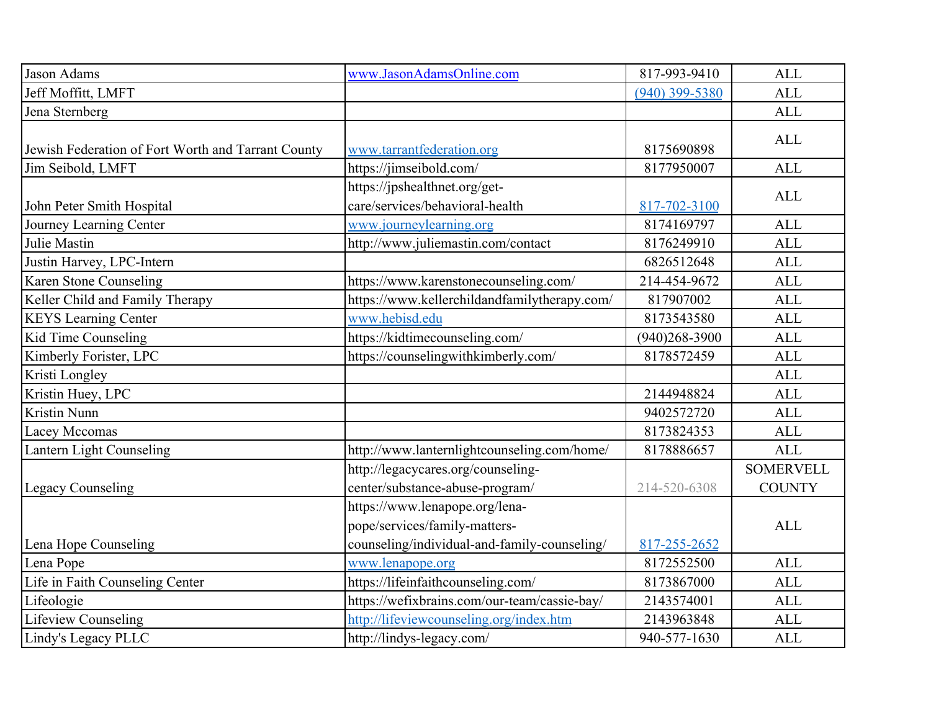| Jason Adams                                        | www.JasonAdamsOnline.com                                         | 817-993-9410      | <b>ALL</b>       |
|----------------------------------------------------|------------------------------------------------------------------|-------------------|------------------|
| Jeff Moffitt, LMFT                                 |                                                                  | $(940)$ 399-5380  | <b>ALL</b>       |
| Jena Sternberg                                     |                                                                  |                   | <b>ALL</b>       |
| Jewish Federation of Fort Worth and Tarrant County | www.tarrantfederation.org                                        | 8175690898        | <b>ALL</b>       |
| Jim Seibold, LMFT                                  | https://jimseibold.com/                                          | 8177950007        | <b>ALL</b>       |
| John Peter Smith Hospital                          | https://jpshealthnet.org/get-<br>care/services/behavioral-health | 817-702-3100      | <b>ALL</b>       |
| Journey Learning Center                            | www.journeylearning.org                                          | 8174169797        | <b>ALL</b>       |
| Julie Mastin                                       | http://www.juliemastin.com/contact                               | 8176249910        | <b>ALL</b>       |
| Justin Harvey, LPC-Intern                          |                                                                  | 6826512648        | <b>ALL</b>       |
| Karen Stone Counseling                             | https://www.karenstonecounseling.com/                            | 214-454-9672      | <b>ALL</b>       |
| Keller Child and Family Therapy                    | https://www.kellerchildandfamilytherapy.com/                     | 817907002         | <b>ALL</b>       |
| <b>KEYS</b> Learning Center                        | www.hebisd.edu                                                   | 8173543580        | <b>ALL</b>       |
| Kid Time Counseling                                | https://kidtimecounseling.com/                                   | $(940)268 - 3900$ | <b>ALL</b>       |
| Kimberly Forister, LPC                             | https://counselingwithkimberly.com/                              | 8178572459        | <b>ALL</b>       |
| Kristi Longley                                     |                                                                  |                   | <b>ALL</b>       |
| Kristin Huey, LPC                                  |                                                                  | 2144948824        | <b>ALL</b>       |
| Kristin Nunn                                       |                                                                  | 9402572720        | <b>ALL</b>       |
| Lacey Mccomas                                      |                                                                  | 8173824353        | <b>ALL</b>       |
| Lantern Light Counseling                           | http://www.lanternlightcounseling.com/home/                      | 8178886657        | <b>ALL</b>       |
|                                                    | http://legacycares.org/counseling-                               |                   | <b>SOMERVELL</b> |
| <b>Legacy Counseling</b>                           | center/substance-abuse-program/                                  | 214-520-6308      | <b>COUNTY</b>    |
|                                                    | https://www.lenapope.org/lena-<br>pope/services/family-matters-  |                   | <b>ALL</b>       |
| Lena Hope Counseling                               | counseling/individual-and-family-counseling/                     | 817-255-2652      |                  |
| Lena Pope                                          | www.lenapope.org                                                 | 8172552500        | <b>ALL</b>       |
| Life in Faith Counseling Center                    | https://lifeinfaithcounseling.com/                               | 8173867000        | <b>ALL</b>       |
| Lifeologie                                         | https://wefixbrains.com/our-team/cassie-bay/                     | 2143574001        | <b>ALL</b>       |
| <b>Lifeview Counseling</b>                         | http://lifeviewcounseling.org/index.htm                          | 2143963848        | <b>ALL</b>       |
| Lindy's Legacy PLLC                                | http://lindys-legacy.com/                                        | 940-577-1630      | <b>ALL</b>       |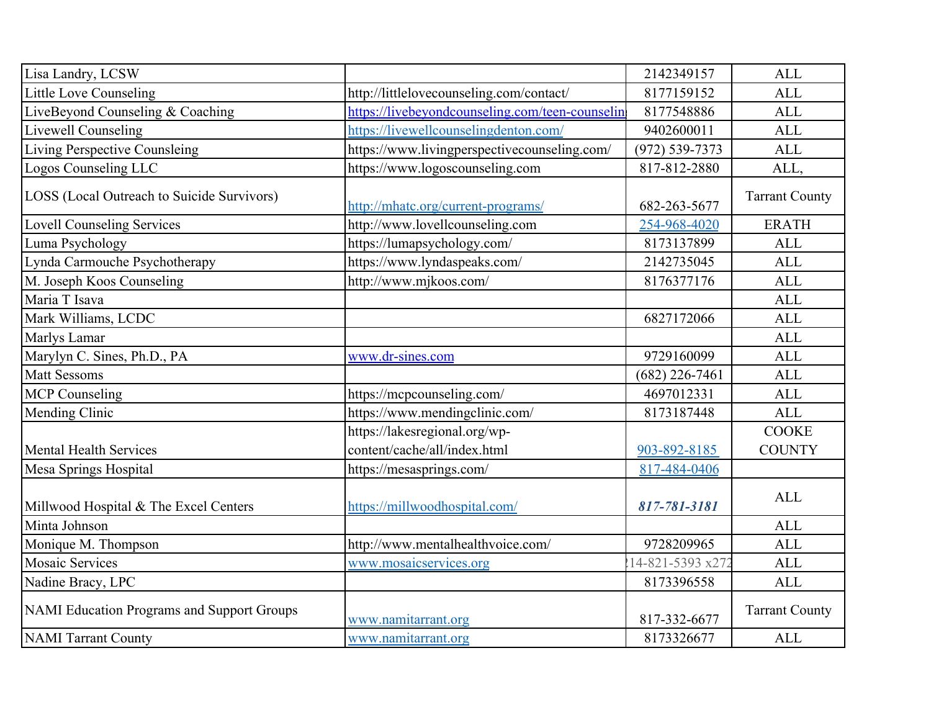| Lisa Landry, LCSW                                 |                                                 | 2142349157         | <b>ALL</b>            |
|---------------------------------------------------|-------------------------------------------------|--------------------|-----------------------|
| <b>Little Love Counseling</b>                     | http://littlelovecounseling.com/contact/        | 8177159152         | <b>ALL</b>            |
| LiveBeyond Counseling & Coaching                  | https://livebeyondcounseling.com/teen-counselin | 8177548886         | <b>ALL</b>            |
| Livewell Counseling                               | https://livewellcounselingdenton.com/           | 9402600011         | <b>ALL</b>            |
| <b>Living Perspective Counsleing</b>              | https://www.livingperspectivecounseling.com/    | $(972) 539 - 7373$ | <b>ALL</b>            |
| Logos Counseling LLC                              | https://www.logoscounseling.com                 | 817-812-2880       | ALL,                  |
| LOSS (Local Outreach to Suicide Survivors)        | http://mhatc.org/current-programs/              | 682-263-5677       | <b>Tarrant County</b> |
| <b>Lovell Counseling Services</b>                 | http://www.lovellcounseling.com                 | 254-968-4020       | <b>ERATH</b>          |
| Luma Psychology                                   | https://lumapsychology.com/                     | 8173137899         | <b>ALL</b>            |
| Lynda Carmouche Psychotherapy                     | https://www.lyndaspeaks.com/                    | 2142735045         | <b>ALL</b>            |
| M. Joseph Koos Counseling                         | http://www.mjkoos.com/                          | 8176377176         | <b>ALL</b>            |
| Maria T Isava                                     |                                                 |                    | <b>ALL</b>            |
| Mark Williams, LCDC                               |                                                 | 6827172066         | <b>ALL</b>            |
| Marlys Lamar                                      |                                                 |                    | <b>ALL</b>            |
| Marylyn C. Sines, Ph.D., PA                       | www.dr-sines.com                                | 9729160099         | <b>ALL</b>            |
| <b>Matt Sessoms</b>                               |                                                 | $(682)$ 226-7461   | <b>ALL</b>            |
| <b>MCP</b> Counseling                             | https://mcpcounseling.com/                      | 4697012331         | <b>ALL</b>            |
| Mending Clinic                                    | https://www.mendingclinic.com/                  | 8173187448         | <b>ALL</b>            |
|                                                   | https://lakesregional.org/wp-                   |                    | <b>COOKE</b>          |
| <b>Mental Health Services</b>                     | content/cache/all/index.html                    | 903-892-8185       | <b>COUNTY</b>         |
| Mesa Springs Hospital                             | https://mesasprings.com/                        | 817-484-0406       |                       |
| Millwood Hospital & The Excel Centers             | https://millwoodhospital.com/                   | 817-781-3181       | <b>ALL</b>            |
| Minta Johnson                                     |                                                 |                    | <b>ALL</b>            |
| Monique M. Thompson                               | http://www.mentalhealthvoice.com/               | 9728209965         | <b>ALL</b>            |
| <b>Mosaic Services</b>                            | www.mosaicservices.org                          | 14-821-5393 x272   | <b>ALL</b>            |
| Nadine Bracy, LPC                                 |                                                 | 8173396558         | <b>ALL</b>            |
| <b>NAMI Education Programs and Support Groups</b> | www.namitarrant.org                             | 817-332-6677       | <b>Tarrant County</b> |
| <b>NAMI Tarrant County</b>                        | www.namitarrant.org                             | 8173326677         | <b>ALL</b>            |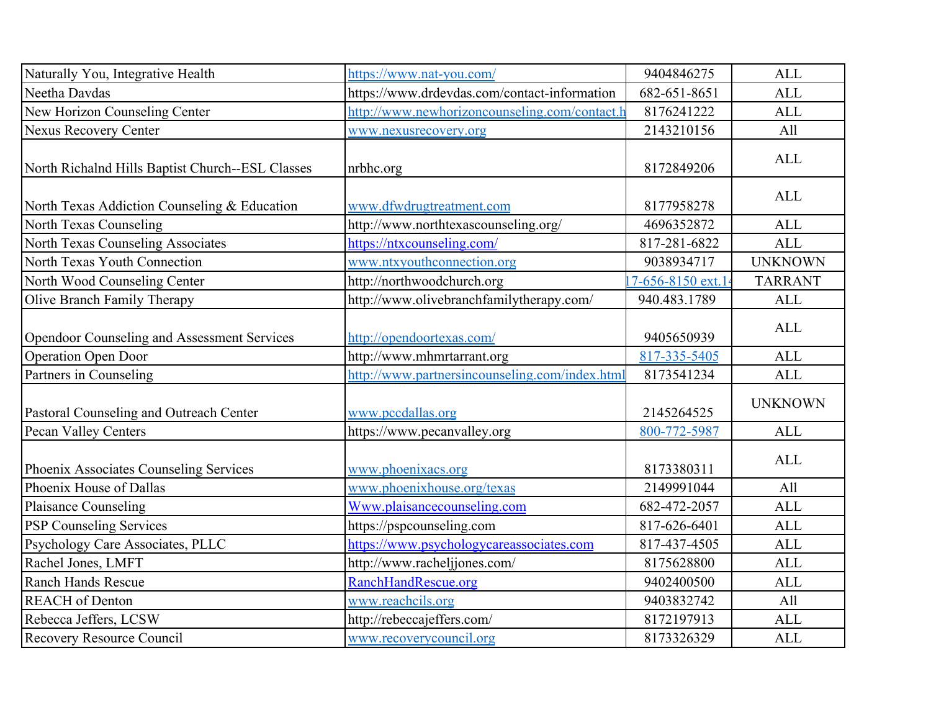| Naturally You, Integrative Health                | https://www.nat-you.com/                       | 9404846275       | <b>ALL</b>     |
|--------------------------------------------------|------------------------------------------------|------------------|----------------|
| Neetha Davdas                                    | https://www.drdevdas.com/contact-information   | 682-651-8651     | <b>ALL</b>     |
| New Horizon Counseling Center                    | http://www.newhorizoncounseling.com/contact.h  | 8176241222       | <b>ALL</b>     |
| <b>Nexus Recovery Center</b>                     | www.nexusrecovery.org                          | 2143210156       | All            |
| North Richalnd Hills Baptist Church--ESL Classes | nrbhc.org                                      | 8172849206       | <b>ALL</b>     |
| North Texas Addiction Counseling & Education     | www.dfwdrugtreatment.com                       | 8177958278       | <b>ALL</b>     |
| North Texas Counseling                           | http://www.northtexascounseling.org/           | 4696352872       | <b>ALL</b>     |
| North Texas Counseling Associates                | https://ntxcounseling.com/                     | 817-281-6822     | <b>ALL</b>     |
| North Texas Youth Connection                     | www.ntxyouthconnection.org                     | 9038934717       | <b>UNKNOWN</b> |
| North Wood Counseling Center                     | http://northwoodchurch.org                     | 7-656-8150 ext.1 | <b>TARRANT</b> |
| Olive Branch Family Therapy                      | http://www.olivebranchfamilytherapy.com/       | 940.483.1789     | <b>ALL</b>     |
| Opendoor Counseling and Assessment Services      | http://opendoortexas.com/                      | 9405650939       | <b>ALL</b>     |
| <b>Operation Open Door</b>                       | http://www.mhmrtarrant.org                     | 817-335-5405     | <b>ALL</b>     |
| Partners in Counseling                           | http://www.partnersincounseling.com/index.html | 8173541234       | <b>ALL</b>     |
| Pastoral Counseling and Outreach Center          | www.pccdallas.org                              | 2145264525       | <b>UNKNOWN</b> |
| <b>Pecan Valley Centers</b>                      | https://www.pecanvalley.org                    | 800-772-5987     | <b>ALL</b>     |
| Phoenix Associates Counseling Services           | www.phoenixacs.org                             | 8173380311       | <b>ALL</b>     |
| Phoenix House of Dallas                          | www.phoenixhouse.org/texas                     | 2149991044       | All            |
| <b>Plaisance Counseling</b>                      | Www.plaisancecounseling.com                    | 682-472-2057     | <b>ALL</b>     |
| <b>PSP Counseling Services</b>                   | https://pspcounseling.com                      | 817-626-6401     | <b>ALL</b>     |
| Psychology Care Associates, PLLC                 | https://www.psychologycareassociates.com       | 817-437-4505     | <b>ALL</b>     |
| Rachel Jones, LMFT                               | http://www.racheljjones.com/                   | 8175628800       | <b>ALL</b>     |
| <b>Ranch Hands Rescue</b>                        | RanchHandRescue.org                            | 9402400500       | <b>ALL</b>     |
| <b>REACH</b> of Denton                           | www.reachcils.org                              | 9403832742       | All            |
| Rebecca Jeffers, LCSW                            | http://rebeccajeffers.com/                     | 8172197913       | <b>ALL</b>     |
| Recovery Resource Council                        | www.recoverycouncil.org                        | 8173326329       | <b>ALL</b>     |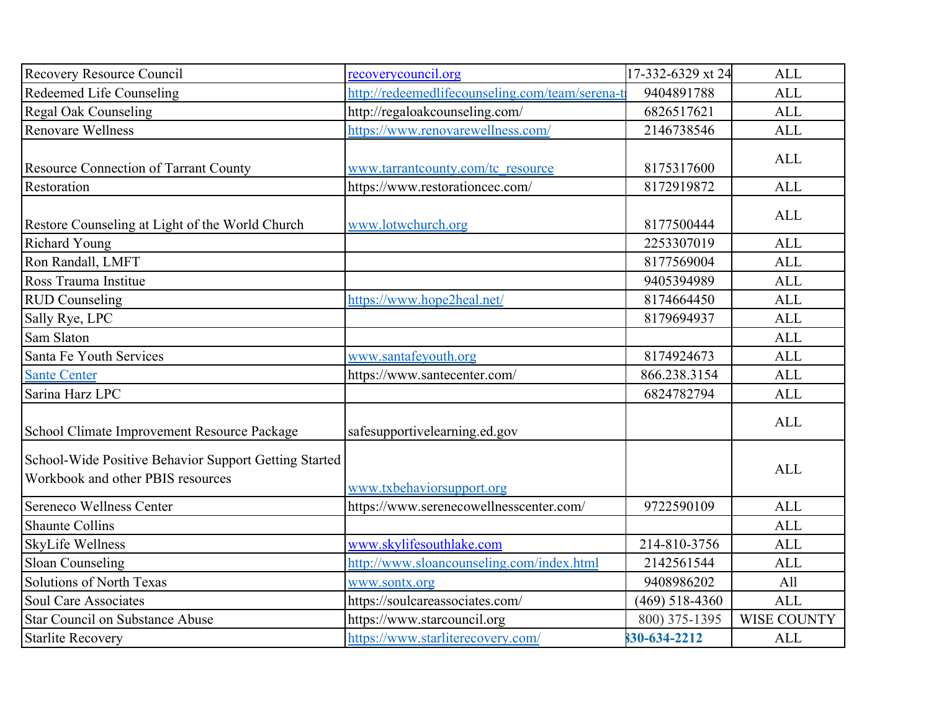| Recovery Resource Council                                                                  | recoverycouncil.org                              | 17-332-6329 xt 24 | <b>ALL</b>  |
|--------------------------------------------------------------------------------------------|--------------------------------------------------|-------------------|-------------|
| Redeemed Life Counseling                                                                   | http://redeemedlifecounseling.com/team/serena-ti | 9404891788        | <b>ALL</b>  |
| <b>Regal Oak Counseling</b>                                                                | http://regaloakcounseling.com/                   | 6826517621        | <b>ALL</b>  |
| <b>Renovare Wellness</b>                                                                   | https://www.renovarewellness.com/                | 2146738546        | <b>ALL</b>  |
|                                                                                            |                                                  |                   | ALL         |
| <b>Resource Connection of Tarrant County</b>                                               | www.tarrantcounty.com/tc_resource                | 8175317600        |             |
| Restoration                                                                                | https://www.restorationcec.com/                  | 8172919872        | <b>ALL</b>  |
| Restore Counseling at Light of the World Church                                            | www.lotwchurch.org                               | 8177500444        | <b>ALL</b>  |
| <b>Richard Young</b>                                                                       |                                                  | 2253307019        | <b>ALL</b>  |
| Ron Randall, LMFT                                                                          |                                                  | 8177569004        | <b>ALL</b>  |
| Ross Trauma Institue                                                                       |                                                  | 9405394989        | <b>ALL</b>  |
| <b>RUD</b> Counseling                                                                      | https://www.hope2heal.net/                       | 8174664450        | <b>ALL</b>  |
| Sally Rye, LPC                                                                             |                                                  | 8179694937        | <b>ALL</b>  |
| Sam Slaton                                                                                 |                                                  |                   | <b>ALL</b>  |
| Santa Fe Youth Services                                                                    | www.santafeyouth.org                             | 8174924673        | <b>ALL</b>  |
| <b>Sante Center</b>                                                                        | https://www.santecenter.com/                     | 866.238.3154      | <b>ALL</b>  |
| Sarina Harz LPC                                                                            |                                                  | 6824782794        | ALL         |
| School Climate Improvement Resource Package                                                | safesupportivelearning.ed.gov                    |                   | <b>ALL</b>  |
| School-Wide Positive Behavior Support Getting Started<br>Workbook and other PBIS resources | www.txbehaviorsupport.org                        |                   | <b>ALL</b>  |
| Sereneco Wellness Center                                                                   | https://www.serenecowellnesscenter.com/          | 9722590109        | <b>ALL</b>  |
| <b>Shaunte Collins</b>                                                                     |                                                  |                   | <b>ALL</b>  |
| SkyLife Wellness                                                                           | www.skylifesouthlake.com                         | 214-810-3756      | <b>ALL</b>  |
| Sloan Counseling                                                                           | http://www.sloancounseling.com/index.html        | 2142561544        | <b>ALL</b>  |
| <b>Solutions of North Texas</b>                                                            | www.sontx.org                                    | 9408986202        | All         |
| <b>Soul Care Associates</b>                                                                | https://soulcareassociates.com/                  | $(469)$ 518-4360  | <b>ALL</b>  |
| <b>Star Council on Substance Abuse</b>                                                     | https://www.starcouncil.org                      | 800) 375-1395     | WISE COUNTY |
| <b>Starlite Recovery</b>                                                                   | https://www.starliterecovery.com/                | 30-634-2212       | <b>ALL</b>  |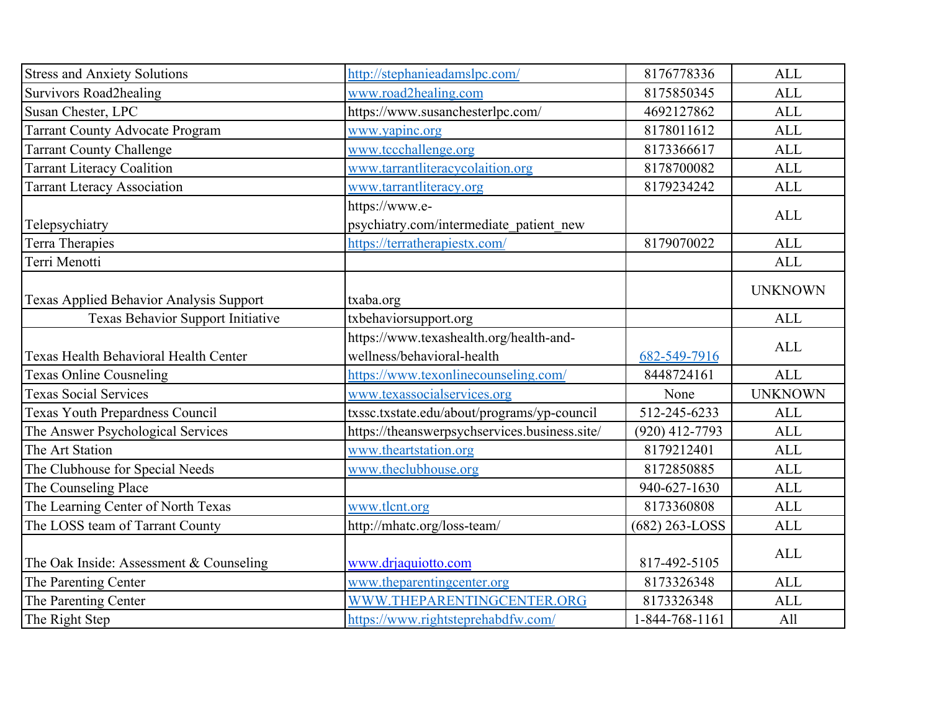| <b>Stress and Anxiety Solutions</b>            | http://stephanieadamslpc.com/                 | 8176778336       | <b>ALL</b>     |
|------------------------------------------------|-----------------------------------------------|------------------|----------------|
| <b>Survivors Road2healing</b>                  | www.road2healing.com                          | 8175850345       | <b>ALL</b>     |
| Susan Chester, LPC                             | https://www.susanchesterlpc.com/              | 4692127862       | <b>ALL</b>     |
| <b>Tarrant County Advocate Program</b>         | www.yapinc.org                                | 8178011612       | <b>ALL</b>     |
| <b>Tarrant County Challenge</b>                | www.tccchallenge.org                          | 8173366617       | <b>ALL</b>     |
| <b>Tarrant Literacy Coalition</b>              | www.tarrantliteracycolaition.org              | 8178700082       | <b>ALL</b>     |
| <b>Tarrant Lteracy Association</b>             | www.tarrantliteracy.org                       | 8179234242       | <b>ALL</b>     |
|                                                | https://www.e-                                |                  | <b>ALL</b>     |
| Telepsychiatry                                 | psychiatry.com/intermediate patient new       |                  |                |
| <b>Terra Therapies</b>                         | https://terratherapiestx.com/                 | 8179070022       | <b>ALL</b>     |
| Terri Menotti                                  |                                               |                  | <b>ALL</b>     |
|                                                |                                               |                  | <b>UNKNOWN</b> |
| <b>Texas Applied Behavior Analysis Support</b> | txaba.org                                     |                  |                |
| Texas Behavior Support Initiative              | txbehaviorsupport.org                         |                  | <b>ALL</b>     |
|                                                | https://www.texashealth.org/health-and-       |                  | <b>ALL</b>     |
| Texas Health Behavioral Health Center          | wellness/behavioral-health                    | 682-549-7916     |                |
| <b>Texas Online Cousneling</b>                 | https://www.texonlinecounseling.com/          | 8448724161       | <b>ALL</b>     |
| <b>Texas Social Services</b>                   | www.texassocialservices.org                   | None             | <b>UNKNOWN</b> |
| <b>Texas Youth Prepardness Council</b>         | txssc.txstate.edu/about/programs/yp-council   | 512-245-6233     | <b>ALL</b>     |
| The Answer Psychological Services              | https://theanswerpsychservices.business.site/ | $(920)$ 412-7793 | <b>ALL</b>     |
| The Art Station                                | www.theartstation.org                         | 8179212401       | <b>ALL</b>     |
| The Clubhouse for Special Needs                | www.theclubhouse.org                          | 8172850885       | <b>ALL</b>     |
| The Counseling Place                           |                                               | 940-627-1630     | <b>ALL</b>     |
| The Learning Center of North Texas             | www.tlcnt.org                                 | 8173360808       | <b>ALL</b>     |
| The LOSS team of Tarrant County                | http://mhatc.org/loss-team/                   | $(682)$ 263-LOSS | <b>ALL</b>     |
|                                                |                                               |                  | <b>ALL</b>     |
| The Oak Inside: Assessment & Counseling        | www.drjaquiotto.com                           | 817-492-5105     |                |
| The Parenting Center                           | www.theparentingcenter.org                    | 8173326348       | <b>ALL</b>     |
| The Parenting Center                           | WWW.THEPARENTINGCENTER.ORG                    | 8173326348       | <b>ALL</b>     |
| The Right Step                                 | https://www.rightsteprehabdfw.com/            | 1-844-768-1161   | All            |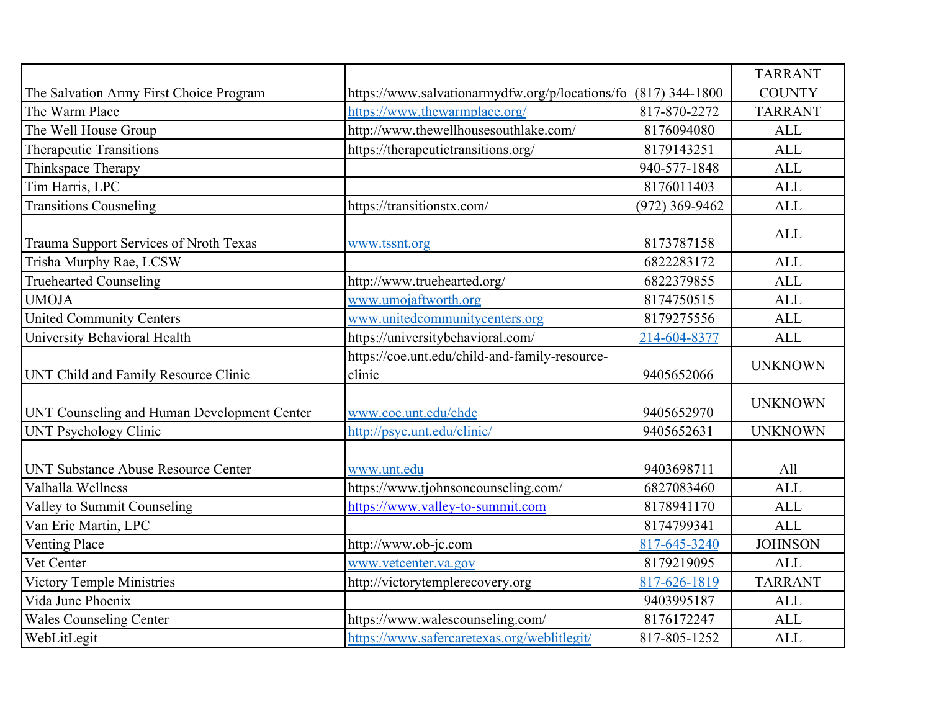|                                             |                                                          |                  | <b>TARRANT</b> |
|---------------------------------------------|----------------------------------------------------------|------------------|----------------|
| The Salvation Army First Choice Program     | https://www.salvationarmydfw.org/p/locations/fo          | $(817)$ 344-1800 | <b>COUNTY</b>  |
| The Warm Place                              | https://www.thewarmplace.org/                            | 817-870-2272     | <b>TARRANT</b> |
| The Well House Group                        | http://www.thewellhousesouthlake.com/                    | 8176094080       | <b>ALL</b>     |
| <b>Therapeutic Transitions</b>              | https://therapeutictransitions.org/                      | 8179143251       | <b>ALL</b>     |
| Thinkspace Therapy                          |                                                          | 940-577-1848     | <b>ALL</b>     |
| Tim Harris, LPC                             |                                                          | 8176011403       | <b>ALL</b>     |
| <b>Transitions Cousneling</b>               | https://transitionstx.com/                               | $(972)$ 369-9462 | <b>ALL</b>     |
| Trauma Support Services of Nroth Texas      | www.tssnt.org                                            | 8173787158       | <b>ALL</b>     |
| Trisha Murphy Rae, LCSW                     |                                                          | 6822283172       | <b>ALL</b>     |
| <b>Truehearted Counseling</b>               | http://www.truehearted.org/                              | 6822379855       | <b>ALL</b>     |
| <b>UMOJA</b>                                | www.umojaftworth.org                                     | 8174750515       | <b>ALL</b>     |
| <b>United Community Centers</b>             | www.unitedcommunitycenters.org                           | 8179275556       | <b>ALL</b>     |
| University Behavioral Health                | https://universitybehavioral.com/                        | 214-604-8377     | <b>ALL</b>     |
| UNT Child and Family Resource Clinic        | https://coe.unt.edu/child-and-family-resource-<br>clinic | 9405652066       | <b>UNKNOWN</b> |
| UNT Counseling and Human Development Center | www.coe.unt.edu/chdc                                     | 9405652970       | <b>UNKNOWN</b> |
| <b>UNT Psychology Clinic</b>                | http://psyc.unt.edu/clinic/                              | 9405652631       | <b>UNKNOWN</b> |
| <b>UNT Substance Abuse Resource Center</b>  | www.unt.edu                                              | 9403698711       | All            |
| Valhalla Wellness                           | https://www.tjohnsoncounseling.com/                      | 6827083460       | <b>ALL</b>     |
| Valley to Summit Counseling                 | https://www.valley-to-summit.com                         | 8178941170       | <b>ALL</b>     |
| Van Eric Martin, LPC                        |                                                          | 8174799341       | <b>ALL</b>     |
| <b>Venting Place</b>                        | http://www.ob-jc.com                                     | 817-645-3240     | <b>JOHNSON</b> |
| Vet Center                                  | www.vetcenter.va.gov                                     | 8179219095       | <b>ALL</b>     |
| <b>Victory Temple Ministries</b>            | http://victorytemplerecovery.org                         | 817-626-1819     | <b>TARRANT</b> |
| Vida June Phoenix                           |                                                          | 9403995187       | <b>ALL</b>     |
| <b>Wales Counseling Center</b>              | https://www.walescounseling.com/                         | 8176172247       | <b>ALL</b>     |
| WebLitLegit                                 | https://www.safercaretexas.org/weblitlegit/              | 817-805-1252     | <b>ALL</b>     |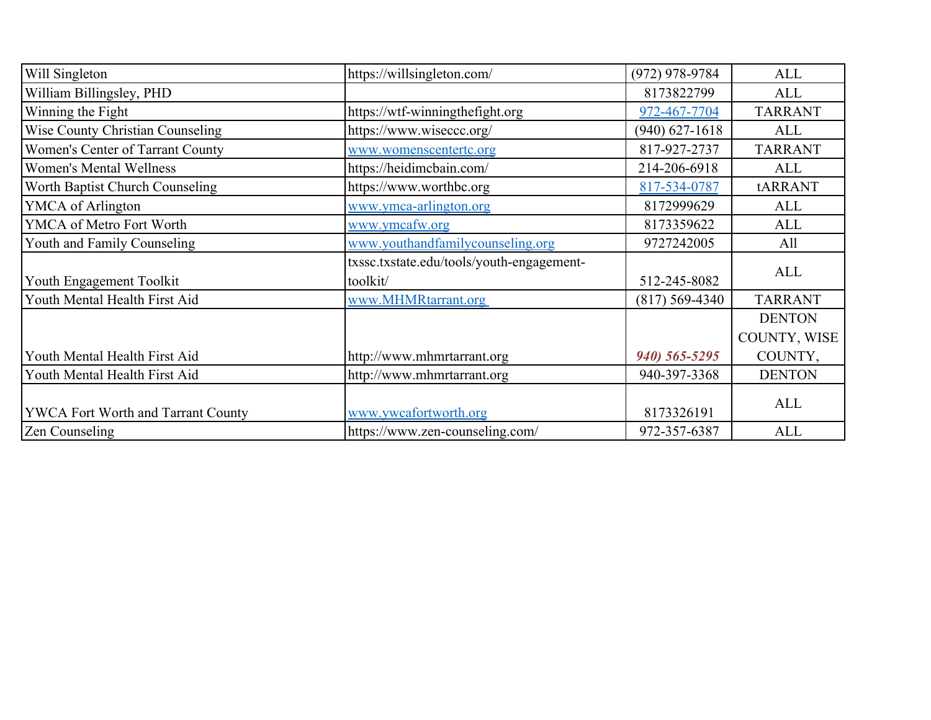| Will Singleton                            | https://willsingleton.com/                | $(972)$ 978-9784   | ALL            |
|-------------------------------------------|-------------------------------------------|--------------------|----------------|
| William Billingsley, PHD                  |                                           | 8173822799         | ALL            |
| Winning the Fight                         | https://wtf-winningthefight.org           | 972-467-7704       | <b>TARRANT</b> |
| <b>Wise County Christian Counseling</b>   | https://www.wiseccc.org/                  | $(940) 627 - 1618$ | ALL            |
| <b>Women's Center of Tarrant County</b>   | www.womenscentertc.org                    | 817-927-2737       | <b>TARRANT</b> |
| <b>Women's Mental Wellness</b>            | https://heidimcbain.com/                  | 214-206-6918       | ALL            |
| Worth Baptist Church Counseling           | https://www.worthbc.org                   | 817-534-0787       | tARRANT        |
| <b>YMCA</b> of Arlington                  | www.ymca-arlington.org                    | 8172999629         | ALL            |
| YMCA of Metro Fort Worth                  | www.ymcafw.org                            | 8173359622         | ALL            |
| Youth and Family Counseling               | www.youthandfamilycounseling.org          | 9727242005         | All            |
|                                           | txssc.txstate.edu/tools/youth-engagement- |                    | ALL            |
| Youth Engagement Toolkit                  | toolkit/                                  | 512-245-8082       |                |
| Youth Mental Health First Aid             | www.MHMRtarrant.org                       | $(817)$ 569-4340   | <b>TARRANT</b> |
|                                           |                                           |                    | <b>DENTON</b>  |
|                                           |                                           |                    | COUNTY, WISE   |
| Youth Mental Health First Aid             | http://www.mhmrtarrant.org                | 940) 565-5295      | COUNTY,        |
| Youth Mental Health First Aid             | http://www.mhmrtarrant.org                | 940-397-3368       | <b>DENTON</b>  |
| <b>YWCA Fort Worth and Tarrant County</b> | www.ywcafortworth.org                     | 8173326191         | ALL            |
| Zen Counseling                            | https://www.zen-counseling.com/           | 972-357-6387       | <b>ALL</b>     |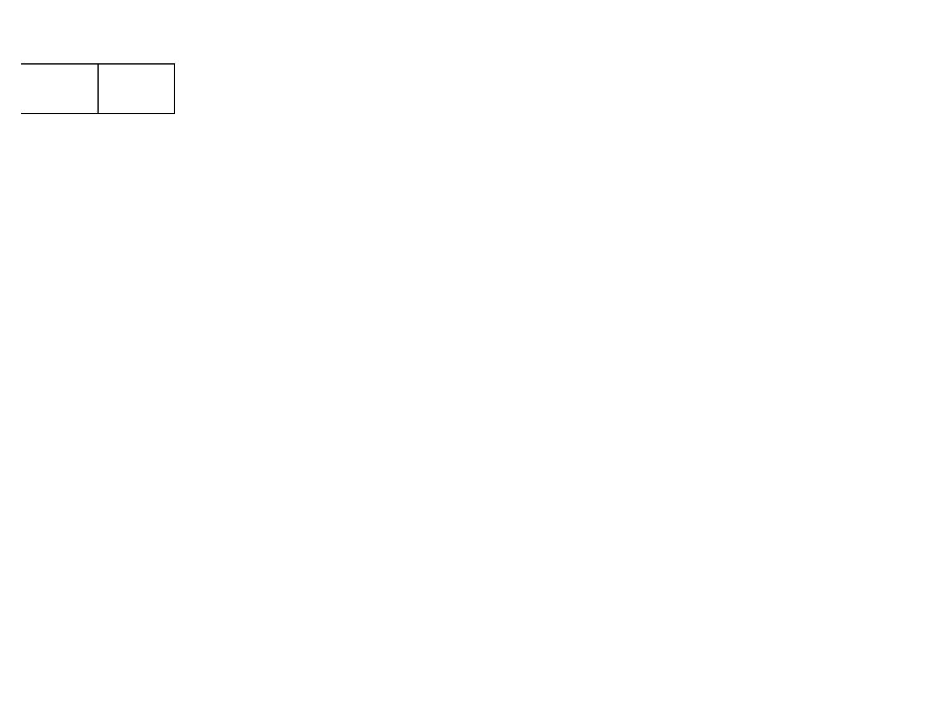